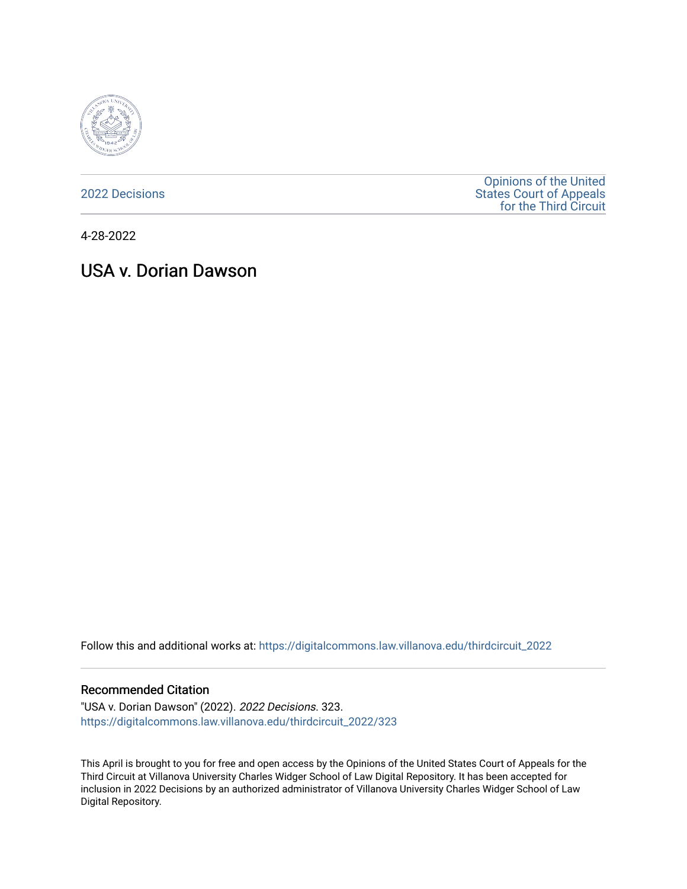

[2022 Decisions](https://digitalcommons.law.villanova.edu/thirdcircuit_2022)

[Opinions of the United](https://digitalcommons.law.villanova.edu/thirdcircuit)  [States Court of Appeals](https://digitalcommons.law.villanova.edu/thirdcircuit)  [for the Third Circuit](https://digitalcommons.law.villanova.edu/thirdcircuit) 

4-28-2022

# USA v. Dorian Dawson

Follow this and additional works at: [https://digitalcommons.law.villanova.edu/thirdcircuit\\_2022](https://digitalcommons.law.villanova.edu/thirdcircuit_2022?utm_source=digitalcommons.law.villanova.edu%2Fthirdcircuit_2022%2F323&utm_medium=PDF&utm_campaign=PDFCoverPages) 

#### Recommended Citation

"USA v. Dorian Dawson" (2022). 2022 Decisions. 323. [https://digitalcommons.law.villanova.edu/thirdcircuit\\_2022/323](https://digitalcommons.law.villanova.edu/thirdcircuit_2022/323?utm_source=digitalcommons.law.villanova.edu%2Fthirdcircuit_2022%2F323&utm_medium=PDF&utm_campaign=PDFCoverPages)

This April is brought to you for free and open access by the Opinions of the United States Court of Appeals for the Third Circuit at Villanova University Charles Widger School of Law Digital Repository. It has been accepted for inclusion in 2022 Decisions by an authorized administrator of Villanova University Charles Widger School of Law Digital Repository.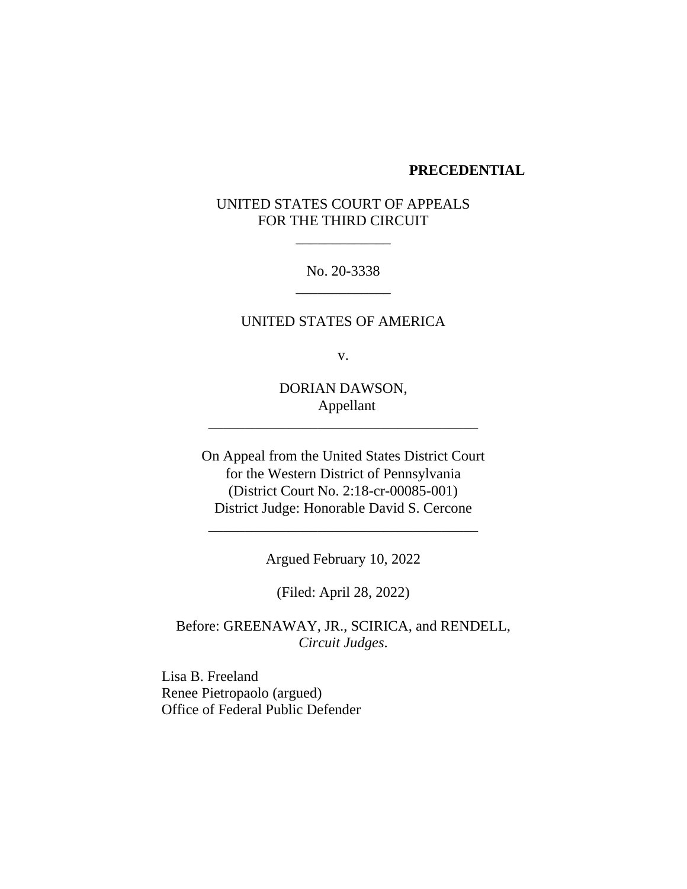#### **PRECEDENTIAL**

# UNITED STATES COURT OF APPEALS FOR THE THIRD CIRCUIT

\_\_\_\_\_\_\_\_\_\_\_\_\_

No. 20-3338 \_\_\_\_\_\_\_\_\_\_\_\_\_

UNITED STATES OF AMERICA

v.

DORIAN DAWSON, Appellant

\_\_\_\_\_\_\_\_\_\_\_\_\_\_\_\_\_\_\_\_\_\_\_\_\_\_\_\_\_\_\_\_\_\_\_\_\_

On Appeal from the United States District Court for the Western District of Pennsylvania (District Court No. 2:18-cr-00085-001) District Judge: Honorable David S. Cercone

Argued February 10, 2022

\_\_\_\_\_\_\_\_\_\_\_\_\_\_\_\_\_\_\_\_\_\_\_\_\_\_\_\_\_\_\_\_\_\_\_\_\_

(Filed: April 28, 2022)

Before: GREENAWAY, JR., SCIRICA, and RENDELL, *Circuit Judges*.

Lisa B. Freeland Renee Pietropaolo (argued) Office of Federal Public Defender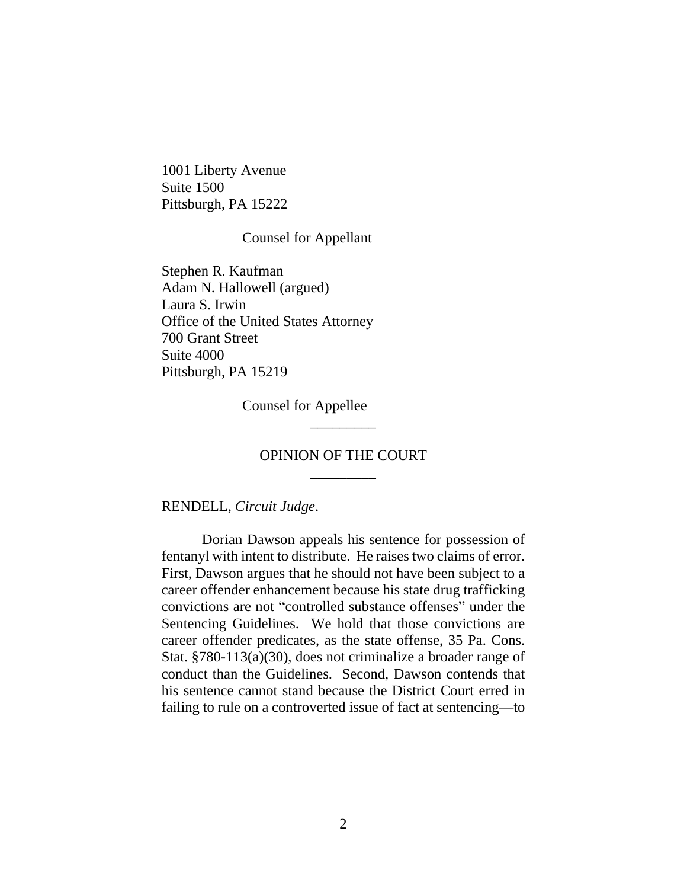1001 Liberty Avenue Suite 1500 Pittsburgh, PA 15222

#### Counsel for Appellant

Stephen R. Kaufman Adam N. Hallowell (argued) Laura S. Irwin Office of the United States Attorney 700 Grant Street Suite 4000 Pittsburgh, PA 15219

Counsel for Appellee

# OPINION OF THE COURT \_\_\_\_\_\_\_\_\_

\_\_\_\_\_\_\_\_\_

RENDELL, *Circuit Judge*.

Dorian Dawson appeals his sentence for possession of fentanyl with intent to distribute. He raises two claims of error. First, Dawson argues that he should not have been subject to a career offender enhancement because his state drug trafficking convictions are not "controlled substance offenses" under the Sentencing Guidelines. We hold that those convictions are career offender predicates, as the state offense, 35 Pa. Cons. Stat. §780-113(a)(30), does not criminalize a broader range of conduct than the Guidelines. Second, Dawson contends that his sentence cannot stand because the District Court erred in failing to rule on a controverted issue of fact at sentencing—to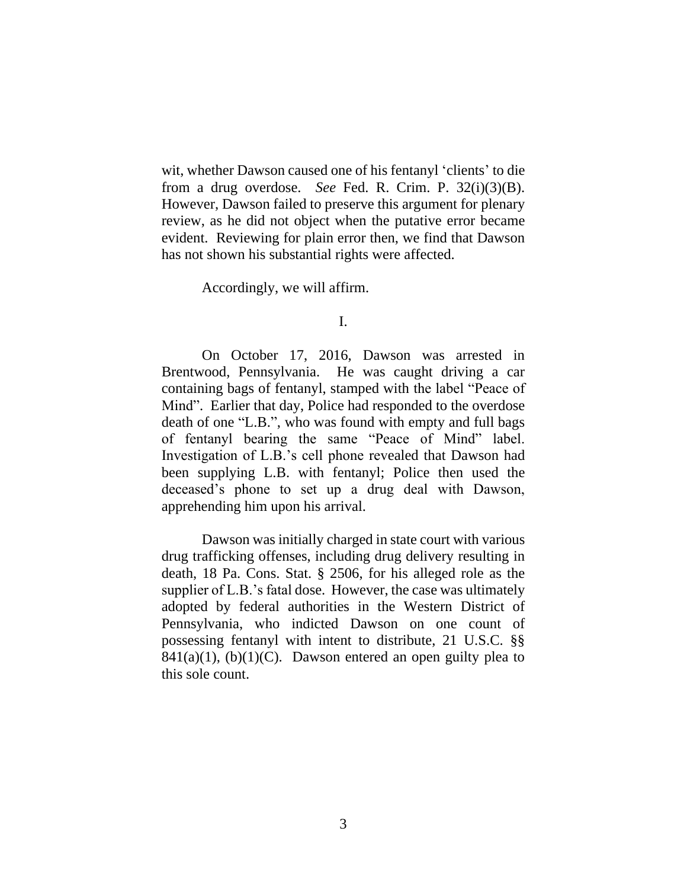wit, whether Dawson caused one of his fentanyl 'clients' to die from a drug overdose. *See* Fed. R. Crim. P. 32(i)(3)(B). However, Dawson failed to preserve this argument for plenary review, as he did not object when the putative error became evident. Reviewing for plain error then, we find that Dawson has not shown his substantial rights were affected.

Accordingly, we will affirm.

I.

On October 17, 2016, Dawson was arrested in Brentwood, Pennsylvania. He was caught driving a car containing bags of fentanyl, stamped with the label "Peace of Mind". Earlier that day, Police had responded to the overdose death of one "L.B.", who was found with empty and full bags of fentanyl bearing the same "Peace of Mind" label. Investigation of L.B.'s cell phone revealed that Dawson had been supplying L.B. with fentanyl; Police then used the deceased's phone to set up a drug deal with Dawson, apprehending him upon his arrival.

Dawson was initially charged in state court with various drug trafficking offenses, including drug delivery resulting in death, 18 Pa. Cons. Stat. § 2506, for his alleged role as the supplier of L.B.'s fatal dose. However, the case was ultimately adopted by federal authorities in the Western District of Pennsylvania, who indicted Dawson on one count of possessing fentanyl with intent to distribute, 21 U.S.C. §§  $841(a)(1)$ , (b)(1)(C). Dawson entered an open guilty plea to this sole count.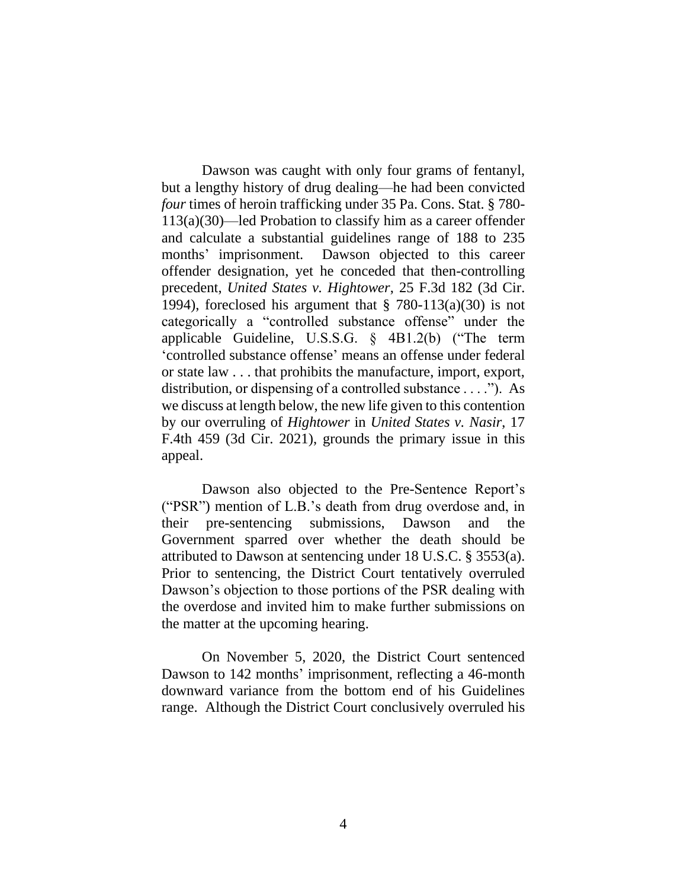Dawson was caught with only four grams of fentanyl, but a lengthy history of drug dealing—he had been convicted *four* times of heroin trafficking under 35 Pa. Cons. Stat. § 780- 113(a)(30)—led Probation to classify him as a career offender and calculate a substantial guidelines range of 188 to 235 months' imprisonment. Dawson objected to this career offender designation, yet he conceded that then-controlling precedent, *United States v. Hightower*, 25 F.3d 182 (3d Cir. 1994), foreclosed his argument that  $\S$  780-113(a)(30) is not categorically a "controlled substance offense" under the applicable Guideline, U.S.S.G. § 4B1.2(b) ("The term 'controlled substance offense' means an offense under federal or state law . . . that prohibits the manufacture, import, export, distribution, or dispensing of a controlled substance . . . ."). As we discuss at length below, the new life given to this contention by our overruling of *Hightower* in *United States v. Nasir*, 17 F.4th 459 (3d Cir. 2021), grounds the primary issue in this appeal.

Dawson also objected to the Pre-Sentence Report's ("PSR") mention of L.B.'s death from drug overdose and, in their pre-sentencing submissions, Dawson and the Government sparred over whether the death should be attributed to Dawson at sentencing under 18 U.S.C. § 3553(a). Prior to sentencing, the District Court tentatively overruled Dawson's objection to those portions of the PSR dealing with the overdose and invited him to make further submissions on the matter at the upcoming hearing.

On November 5, 2020, the District Court sentenced Dawson to 142 months' imprisonment, reflecting a 46-month downward variance from the bottom end of his Guidelines range. Although the District Court conclusively overruled his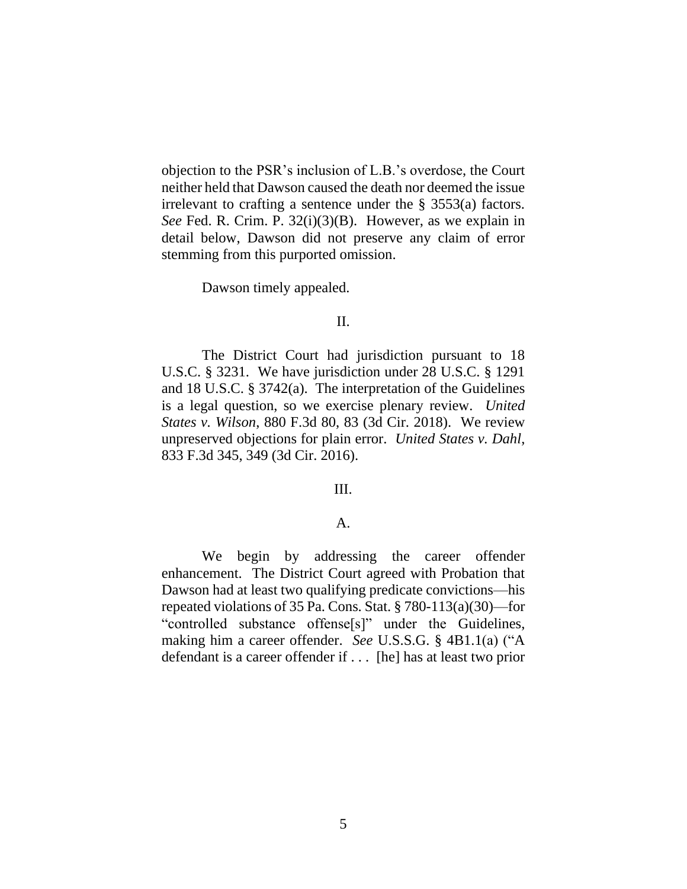objection to the PSR's inclusion of L.B.'s overdose, the Court neither held that Dawson caused the death nor deemed the issue irrelevant to crafting a sentence under the § 3553(a) factors. *See* Fed. R. Crim. P. 32(i)(3)(B). However, as we explain in detail below, Dawson did not preserve any claim of error stemming from this purported omission.

Dawson timely appealed.

## II.

The District Court had jurisdiction pursuant to 18 U.S.C. § 3231. We have jurisdiction under 28 U.S.C. § 1291 and 18 U.S.C. § 3742(a). The interpretation of the Guidelines is a legal question, so we exercise plenary review. *United States v. Wilson*, 880 F.3d 80, 83 (3d Cir. 2018). We review unpreserved objections for plain error. *United States v. Dahl*, 833 F.3d 345, 349 (3d Cir. 2016).

#### III.

#### A.

We begin by addressing the career offender enhancement. The District Court agreed with Probation that Dawson had at least two qualifying predicate convictions—his repeated violations of 35 Pa. Cons. Stat. § 780-113(a)(30)—for "controlled substance offense[s]" under the Guidelines, making him a career offender. *See* U.S.S.G. § 4B1.1(a) ("A defendant is a career offender if . . . [he] has at least two prior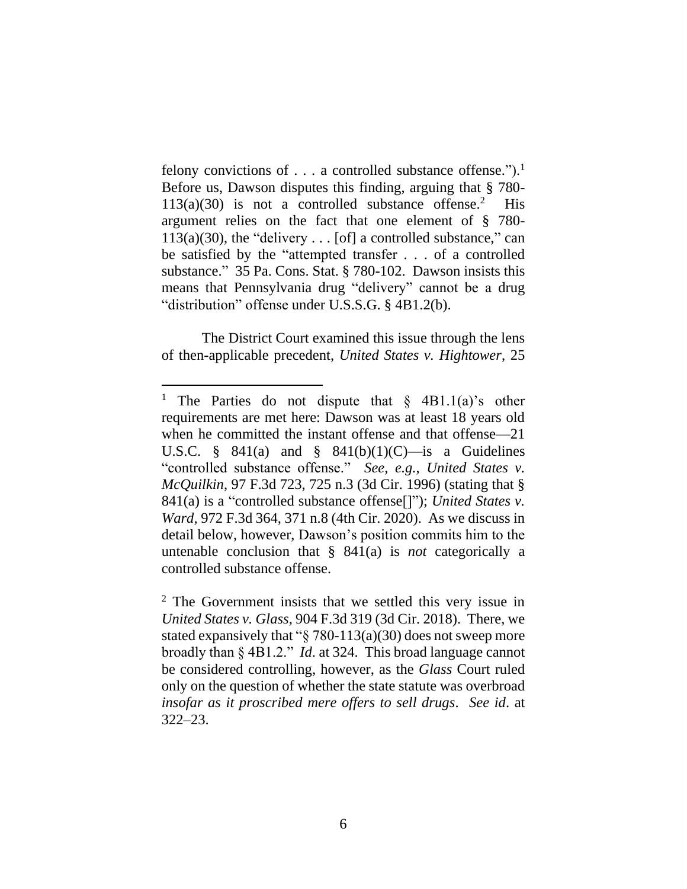felony convictions of  $\dots$  a controlled substance offense.").<sup>1</sup> Before us, Dawson disputes this finding, arguing that § 780-  $113(a)(30)$  is not a controlled substance offense.<sup>2</sup> His argument relies on the fact that one element of § 780-  $113(a)(30)$ , the "delivery . . . [of] a controlled substance," can be satisfied by the "attempted transfer . . . of a controlled substance." 35 Pa. Cons. Stat. § 780-102. Dawson insists this means that Pennsylvania drug "delivery" cannot be a drug "distribution" offense under U.S.S.G. § 4B1.2(b).

The District Court examined this issue through the lens of then-applicable precedent, *United States v. Hightower*, 25

<sup>&</sup>lt;sup>1</sup> The Parties do not dispute that  $\S$  4B1.1(a)'s other requirements are met here: Dawson was at least 18 years old when he committed the instant offense and that offense—21 U.S.C. § 841(a) and § 841(b)(1)(C)—is a Guidelines "controlled substance offense." *See, e.g.*, *United States v. McQuilkin*, 97 F.3d 723, 725 n.3 (3d Cir. 1996) (stating that § 841(a) is a "controlled substance offense[]"); *United States v. Ward*, 972 F.3d 364, 371 n.8 (4th Cir. 2020). As we discuss in detail below, however, Dawson's position commits him to the untenable conclusion that § 841(a) is *not* categorically a controlled substance offense.

<sup>2</sup> The Government insists that we settled this very issue in *United States v. Glass*, 904 F.3d 319 (3d Cir. 2018). There, we stated expansively that " $\S$  780-113(a)(30) does not sweep more broadly than § 4B1.2." *Id*. at 324. This broad language cannot be considered controlling, however, as the *Glass* Court ruled only on the question of whether the state statute was overbroad *insofar as it proscribed mere offers to sell drugs*. *See id*. at 322–23.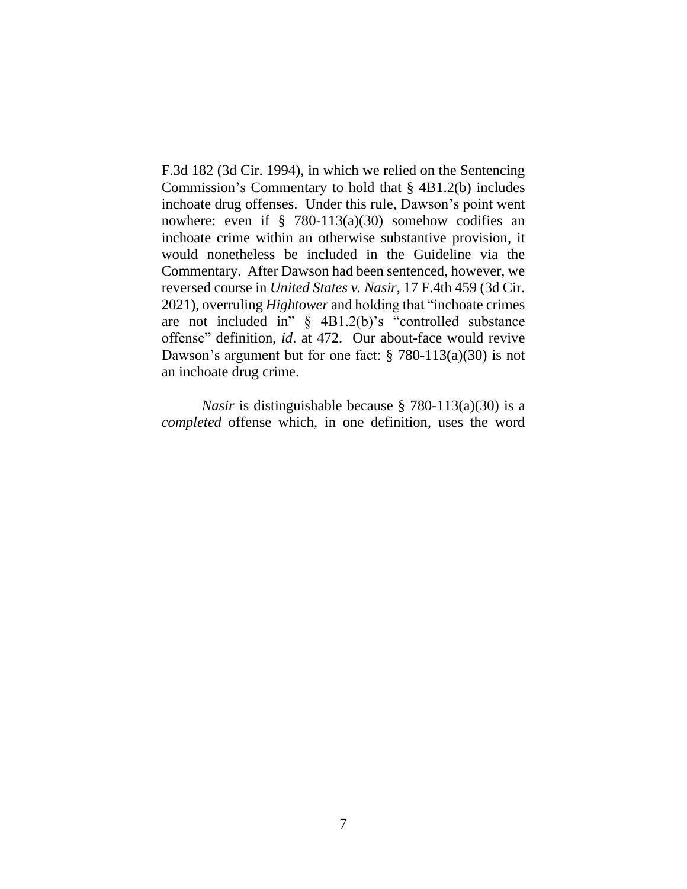F.3d 182 (3d Cir. 1994), in which we relied on the Sentencing Commission's Commentary to hold that § 4B1.2(b) includes inchoate drug offenses. Under this rule, Dawson's point went nowhere: even if  $\S$  780-113(a)(30) somehow codifies an inchoate crime within an otherwise substantive provision, it would nonetheless be included in the Guideline via the Commentary. After Dawson had been sentenced, however, we reversed course in *United States v. Nasir*, 17 F.4th 459 (3d Cir. 2021), overruling *Hightower* and holding that "inchoate crimes are not included in" § 4B1.2(b)'s "controlled substance offense" definition, *id*. at 472. Our about-face would revive Dawson's argument but for one fact: § 780-113(a)(30) is not an inchoate drug crime.

*Nasir* is distinguishable because § 780-113(a)(30) is a *completed* offense which, in one definition, uses the word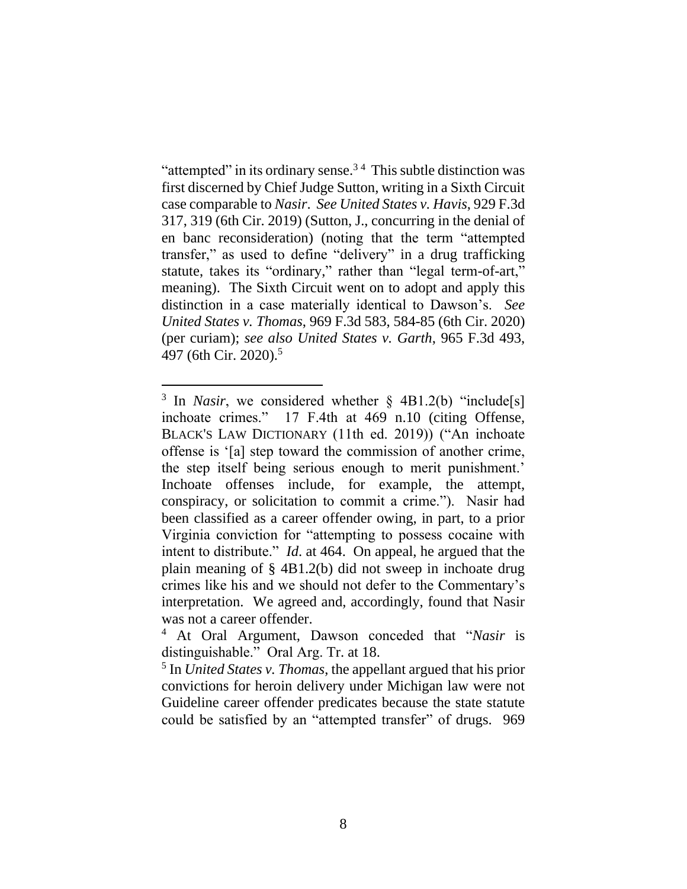"attempted" in its ordinary sense. $3<sup>4</sup>$  This subtle distinction was first discerned by Chief Judge Sutton, writing in a Sixth Circuit case comparable to *Nasir*. *See United States v. Havis*, 929 F.3d 317, 319 (6th Cir. 2019) (Sutton, J., concurring in the denial of en banc reconsideration) (noting that the term "attempted transfer," as used to define "delivery" in a drug trafficking statute, takes its "ordinary," rather than "legal term-of-art," meaning). The Sixth Circuit went on to adopt and apply this distinction in a case materially identical to Dawson's. *See United States v. Thomas*, 969 F.3d 583, 584-85 (6th Cir. 2020) (per curiam); *see also United States v. Garth*, 965 F.3d 493, 497 (6th Cir. 2020). 5

<sup>&</sup>lt;sup>3</sup> In *Nasir*, we considered whether § 4B1.2(b) "include[s] inchoate crimes." 17 F.4th at 469 n.10 (citing Offense, BLACK'S LAW DICTIONARY (11th ed. 2019)) ("An inchoate offense is '[a] step toward the commission of another crime, the step itself being serious enough to merit punishment.' Inchoate offenses include, for example, the attempt, conspiracy, or solicitation to commit a crime."). Nasir had been classified as a career offender owing, in part, to a prior Virginia conviction for "attempting to possess cocaine with intent to distribute." *Id*. at 464. On appeal, he argued that the plain meaning of § 4B1.2(b) did not sweep in inchoate drug crimes like his and we should not defer to the Commentary's interpretation. We agreed and, accordingly, found that Nasir was not a career offender.

<sup>4</sup> At Oral Argument, Dawson conceded that "*Nasir* is distinguishable." Oral Arg. Tr. at 18.

<sup>5</sup> In *United States v. Thomas*, the appellant argued that his prior convictions for heroin delivery under Michigan law were not Guideline career offender predicates because the state statute could be satisfied by an "attempted transfer" of drugs. 969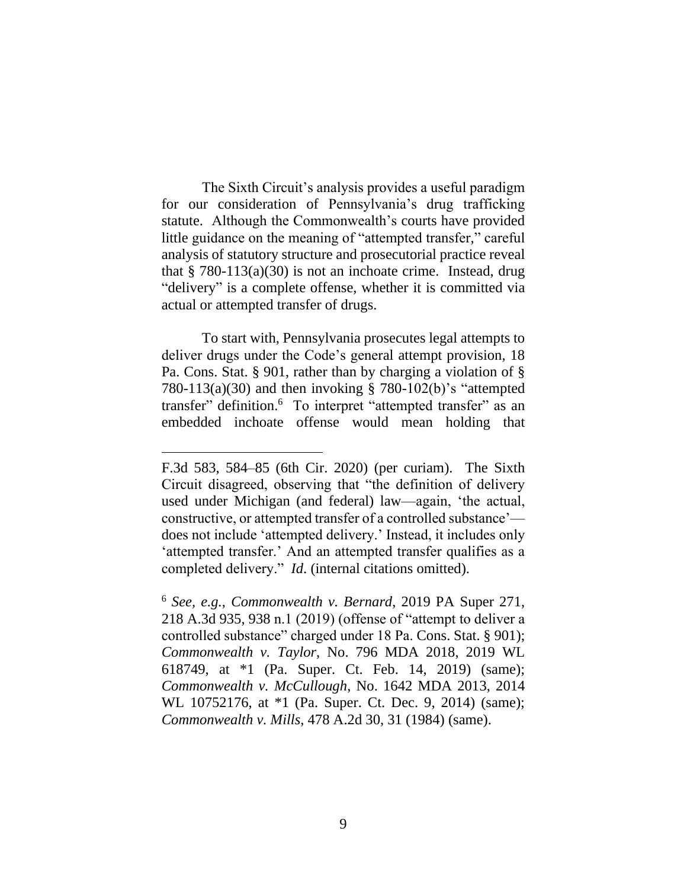The Sixth Circuit's analysis provides a useful paradigm for our consideration of Pennsylvania's drug trafficking statute. Although the Commonwealth's courts have provided little guidance on the meaning of "attempted transfer," careful analysis of statutory structure and prosecutorial practice reveal that  $\S$  780-113(a)(30) is not an inchoate crime. Instead, drug "delivery" is a complete offense, whether it is committed via actual or attempted transfer of drugs.

To start with, Pennsylvania prosecutes legal attempts to deliver drugs under the Code's general attempt provision, 18 Pa. Cons. Stat. § 901, rather than by charging a violation of § 780-113(a)(30) and then invoking § 780-102(b)'s "attempted transfer" definition.<sup>6</sup> To interpret "attempted transfer" as an embedded inchoate offense would mean holding that

F.3d 583, 584–85 (6th Cir. 2020) (per curiam). The Sixth Circuit disagreed, observing that "the definition of delivery used under Michigan (and federal) law—again, 'the actual, constructive, or attempted transfer of a controlled substance' does not include 'attempted delivery.' Instead, it includes only 'attempted transfer.' And an attempted transfer qualifies as a completed delivery." *Id*. (internal citations omitted).

<sup>6</sup> *See, e.g.*, *Commonwealth v. Bernard*, 2019 PA Super 271, 218 A.3d 935, 938 n.1 (2019) (offense of "attempt to deliver a controlled substance" charged under 18 Pa. Cons. Stat. § 901); *Commonwealth v. Taylor*, No. 796 MDA 2018, 2019 WL 618749, at \*1 (Pa. Super. Ct. Feb. 14, 2019) (same); *Commonwealth v. McCullough*, No. 1642 MDA 2013, 2014 WL 10752176, at \*1 (Pa. Super. Ct. Dec. 9, 2014) (same); *Commonwealth v. Mills*, 478 A.2d 30, 31 (1984) (same).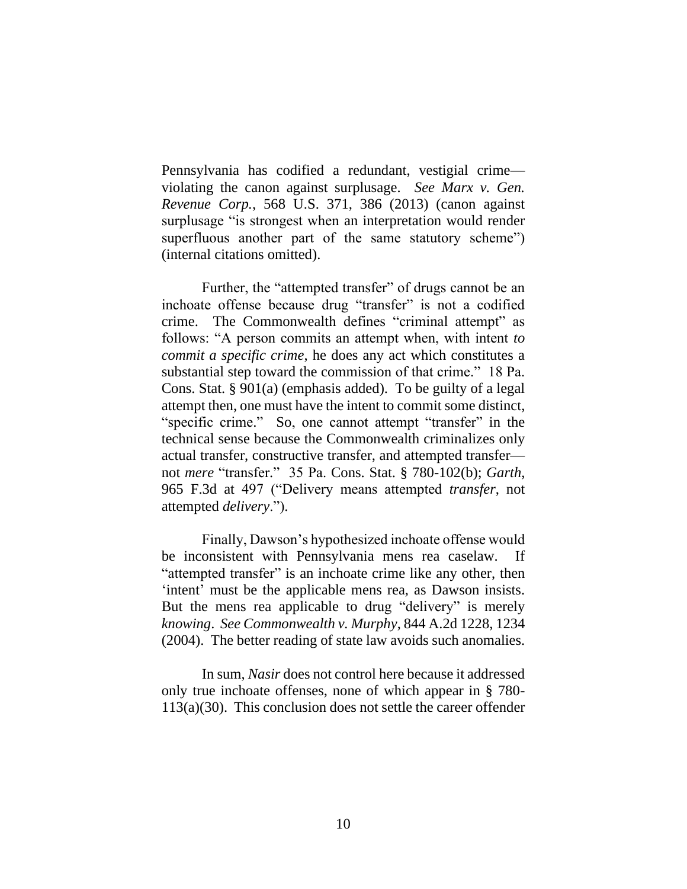Pennsylvania has codified a redundant, vestigial crime violating the canon against surplusage. *See Marx v. Gen. Revenue Corp.*, 568 U.S. 371, 386 (2013) (canon against surplusage "is strongest when an interpretation would render superfluous another part of the same statutory scheme") (internal citations omitted).

Further, the "attempted transfer" of drugs cannot be an inchoate offense because drug "transfer" is not a codified crime. The Commonwealth defines "criminal attempt" as follows: "A person commits an attempt when, with intent *to commit a specific crime*, he does any act which constitutes a substantial step toward the commission of that crime." 18 Pa. Cons. Stat. § 901(a) (emphasis added). To be guilty of a legal attempt then, one must have the intent to commit some distinct, "specific crime." So, one cannot attempt "transfer" in the technical sense because the Commonwealth criminalizes only actual transfer, constructive transfer, and attempted transfer not *mere* "transfer." 35 Pa. Cons. Stat. § 780-102(b); *Garth*, 965 F.3d at 497 ("Delivery means attempted *transfer*, not attempted *delivery*.").

Finally, Dawson's hypothesized inchoate offense would be inconsistent with Pennsylvania mens rea caselaw. If "attempted transfer" is an inchoate crime like any other, then 'intent' must be the applicable mens rea, as Dawson insists. But the mens rea applicable to drug "delivery" is merely *knowing*. *See Commonwealth v. Murphy*, 844 A.2d 1228, 1234 (2004). The better reading of state law avoids such anomalies.

In sum, *Nasir* does not control here because it addressed only true inchoate offenses, none of which appear in § 780- 113(a)(30). This conclusion does not settle the career offender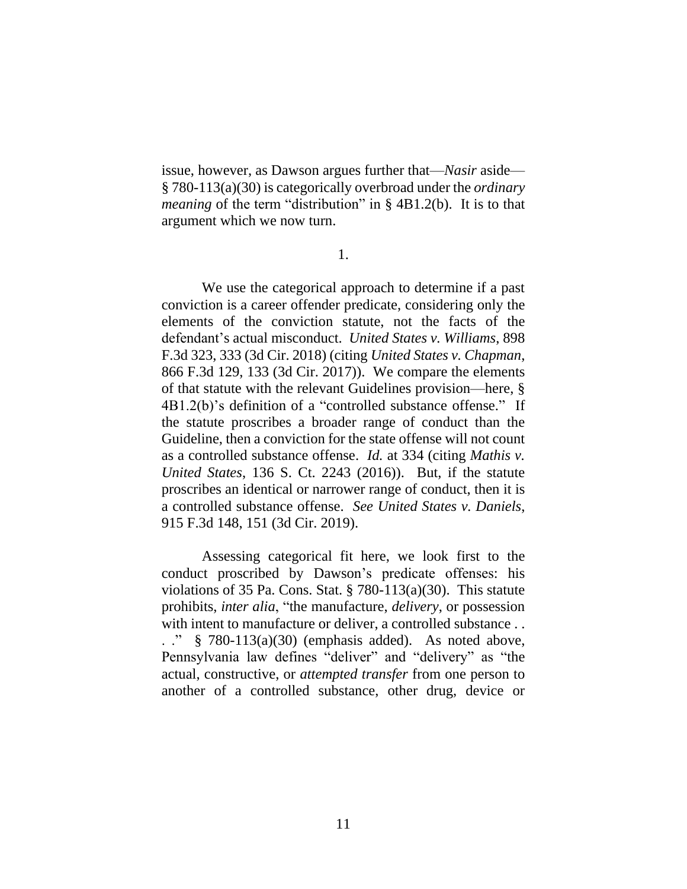issue, however, as Dawson argues further that—*Nasir* aside— § 780-113(a)(30) is categorically overbroad under the *ordinary meaning* of the term "distribution" in § 4B1.2(b). It is to that argument which we now turn.

1.

We use the categorical approach to determine if a past conviction is a career offender predicate, considering only the elements of the conviction statute, not the facts of the defendant's actual misconduct. *United States v. Williams*, 898 F.3d 323, 333 (3d Cir. 2018) (citing *United States v. Chapman*, 866 F.3d 129, 133 (3d Cir. 2017)). We compare the elements of that statute with the relevant Guidelines provision—here, § 4B1.2(b)'s definition of a "controlled substance offense." If the statute proscribes a broader range of conduct than the Guideline, then a conviction for the state offense will not count as a controlled substance offense. *Id.* at 334 (citing *Mathis v. United States*, 136 S. Ct. 2243 (2016)). But, if the statute proscribes an identical or narrower range of conduct, then it is a controlled substance offense. *See United States v. Daniels*, 915 F.3d 148, 151 (3d Cir. 2019).

Assessing categorical fit here, we look first to the conduct proscribed by Dawson's predicate offenses: his violations of 35 Pa. Cons. Stat.  $\S 780-113(a)(30)$ . This statute prohibits, *inter alia*, "the manufacture, *delivery*, or possession with intent to manufacture or deliver, a controlled substance . . . ." § 780-113(a)(30) (emphasis added). As noted above, Pennsylvania law defines "deliver" and "delivery" as "the actual, constructive, or *attempted transfer* from one person to another of a controlled substance, other drug, device or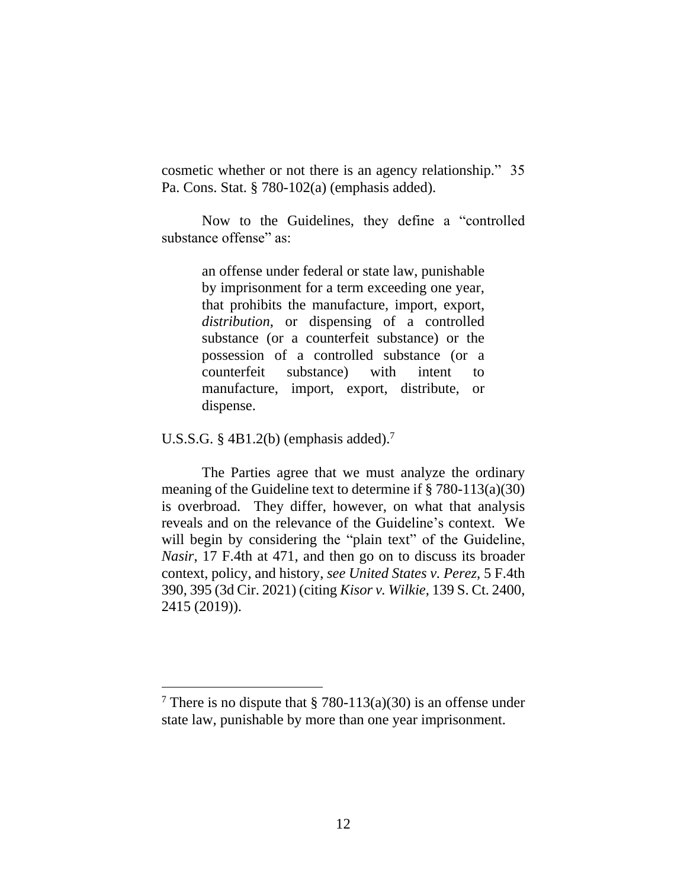cosmetic whether or not there is an agency relationship." 35 Pa. Cons. Stat. § 780-102(a) (emphasis added).

Now to the Guidelines, they define a "controlled substance offense" as:

> an offense under federal or state law, punishable by imprisonment for a term exceeding one year, that prohibits the manufacture, import, export, *distribution*, or dispensing of a controlled substance (or a counterfeit substance) or the possession of a controlled substance (or a counterfeit substance) with intent to manufacture, import, export, distribute, or dispense.

U.S.S.G. § 4B1.2(b) (emphasis added). 7

The Parties agree that we must analyze the ordinary meaning of the Guideline text to determine if § 780-113(a)(30) is overbroad. They differ, however, on what that analysis reveals and on the relevance of the Guideline's context. We will begin by considering the "plain text" of the Guideline, *Nasir*, 17 F.4th at 471, and then go on to discuss its broader context, policy, and history, *see United States v. Perez*, 5 F.4th 390, 395 (3d Cir. 2021) (citing *Kisor v. Wilkie*, 139 S. Ct. 2400, 2415 (2019)).

<sup>&</sup>lt;sup>7</sup> There is no dispute that § 780-113(a)(30) is an offense under state law, punishable by more than one year imprisonment.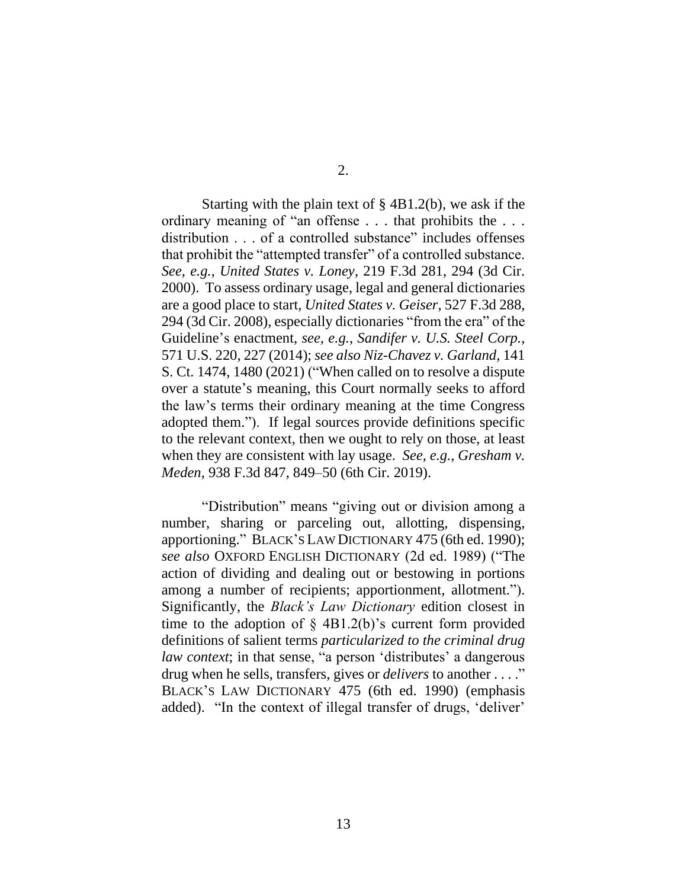2.

Starting with the plain text of  $\S$  4B1.2(b), we ask if the ordinary meaning of "an offense . . . that prohibits the . . . distribution . . . of a controlled substance" includes offenses that prohibit the "attempted transfer" of a controlled substance. *See, e.g.*, *United States v. Loney*, 219 F.3d 281, 294 (3d Cir. 2000). To assess ordinary usage, legal and general dictionaries are a good place to start, *United States v. Geiser*, 527 F.3d 288, 294 (3d Cir. 2008), especially dictionaries "from the era" of the Guideline's enactment, *see, e.g.*, *Sandifer v. U.S. Steel Corp.*, 571 U.S. 220, 227 (2014); *see also Niz-Chavez v. Garland*, 141 S. Ct. 1474, 1480 (2021) ("When called on to resolve a dispute over a statute's meaning, this Court normally seeks to afford the law's terms their ordinary meaning at the time Congress adopted them."). If legal sources provide definitions specific to the relevant context, then we ought to rely on those, at least when they are consistent with lay usage. *See, e.g.*, *Gresham v. Meden*, 938 F.3d 847, 849–50 (6th Cir. 2019).

"Distribution" means "giving out or division among a number, sharing or parceling out, allotting, dispensing, apportioning." BLACK'S LAW DICTIONARY 475 (6th ed. 1990); *see also* OXFORD ENGLISH DICTIONARY (2d ed. 1989) ("The action of dividing and dealing out or bestowing in portions among a number of recipients; apportionment, allotment."). Significantly, the *Black's Law Dictionary* edition closest in time to the adoption of  $\S$  4B1.2(b)'s current form provided definitions of salient terms *particularized to the criminal drug law context*; in that sense, "a person 'distributes' a dangerous drug when he sells, transfers, gives or *delivers* to another . . . ." BLACK'S LAW DICTIONARY 475 (6th ed. 1990) (emphasis added). "In the context of illegal transfer of drugs, 'deliver'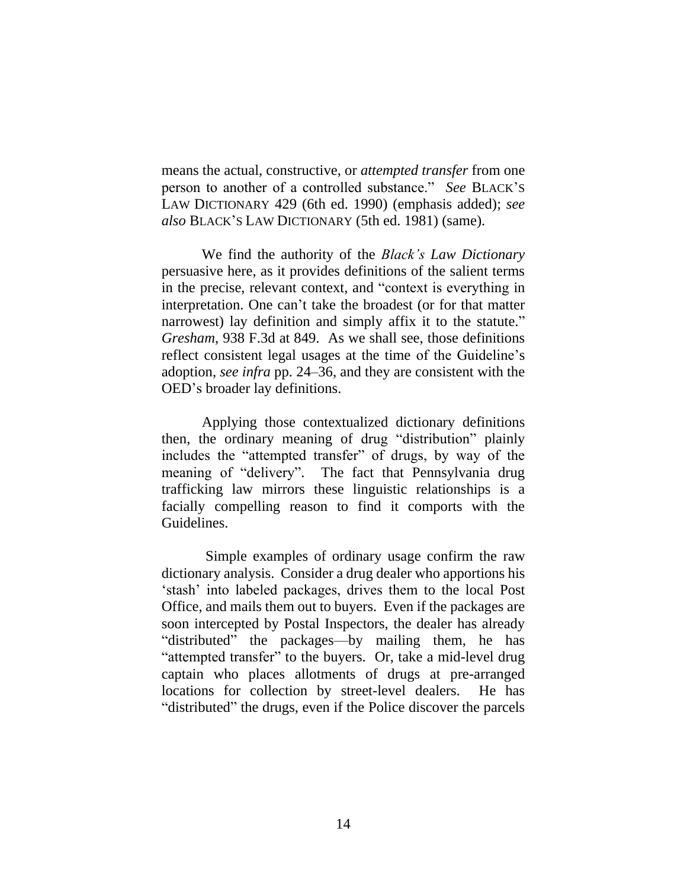means the actual, constructive, or *attempted transfer* from one person to another of a controlled substance." *See* BLACK'S LAW DICTIONARY 429 (6th ed. 1990) (emphasis added); *see also* BLACK'S LAW DICTIONARY (5th ed. 1981) (same).

We find the authority of the *Black's Law Dictionary* persuasive here, as it provides definitions of the salient terms in the precise, relevant context, and "context is everything in interpretation. One can't take the broadest (or for that matter narrowest) lay definition and simply affix it to the statute." *Gresham*, 938 F.3d at 849. As we shall see, those definitions reflect consistent legal usages at the time of the Guideline's adoption, *see infra* pp. 24–36, and they are consistent with the OED's broader lay definitions.

Applying those contextualized dictionary definitions then, the ordinary meaning of drug "distribution" plainly includes the "attempted transfer" of drugs, by way of the meaning of "delivery". The fact that Pennsylvania drug trafficking law mirrors these linguistic relationships is a facially compelling reason to find it comports with the Guidelines.

Simple examples of ordinary usage confirm the raw dictionary analysis. Consider a drug dealer who apportions his 'stash' into labeled packages, drives them to the local Post Office, and mails them out to buyers. Even if the packages are soon intercepted by Postal Inspectors, the dealer has already "distributed" the packages—by mailing them, he has "attempted transfer" to the buyers. Or, take a mid-level drug captain who places allotments of drugs at pre-arranged locations for collection by street-level dealers. He has "distributed" the drugs, even if the Police discover the parcels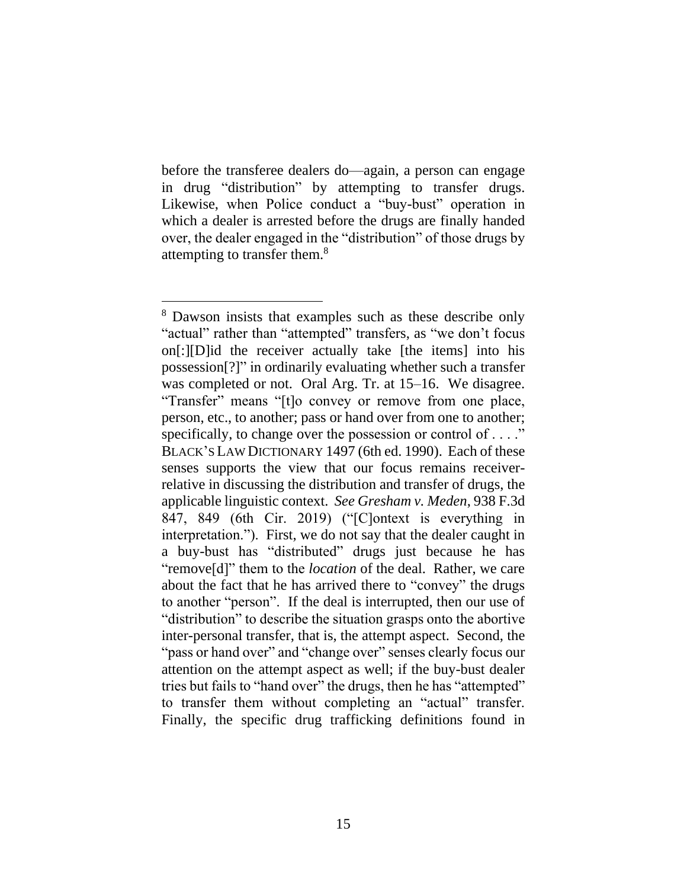before the transferee dealers do—again, a person can engage in drug "distribution" by attempting to transfer drugs. Likewise, when Police conduct a "buy-bust" operation in which a dealer is arrested before the drugs are finally handed over, the dealer engaged in the "distribution" of those drugs by attempting to transfer them.<sup>8</sup>

<sup>8</sup> Dawson insists that examples such as these describe only "actual" rather than "attempted" transfers, as "we don't focus on[:][D]id the receiver actually take [the items] into his possession[?]" in ordinarily evaluating whether such a transfer was completed or not. Oral Arg. Tr. at 15–16. We disagree. "Transfer" means "[t]o convey or remove from one place, person, etc., to another; pass or hand over from one to another; specifically, to change over the possession or control of . . . ." BLACK'S LAW DICTIONARY 1497 (6th ed. 1990). Each of these senses supports the view that our focus remains receiverrelative in discussing the distribution and transfer of drugs, the applicable linguistic context. *See Gresham v. Meden*, 938 F.3d 847, 849 (6th Cir. 2019) ("[C]ontext is everything in interpretation."). First, we do not say that the dealer caught in a buy-bust has "distributed" drugs just because he has "remove[d]" them to the *location* of the deal. Rather, we care about the fact that he has arrived there to "convey" the drugs to another "person". If the deal is interrupted, then our use of "distribution" to describe the situation grasps onto the abortive inter-personal transfer, that is, the attempt aspect. Second, the "pass or hand over" and "change over" senses clearly focus our attention on the attempt aspect as well; if the buy-bust dealer tries but fails to "hand over" the drugs, then he has "attempted" to transfer them without completing an "actual" transfer. Finally, the specific drug trafficking definitions found in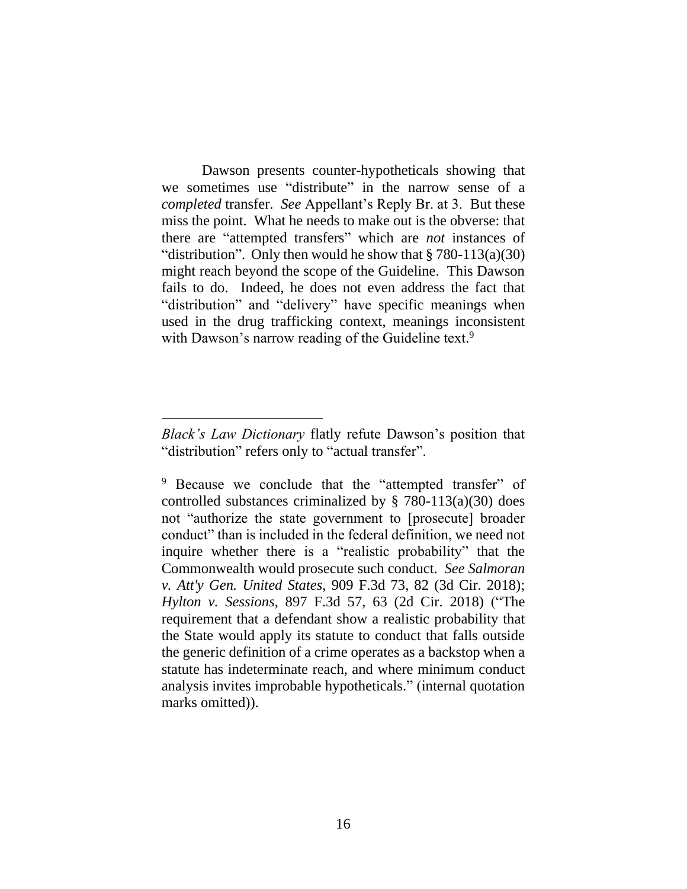Dawson presents counter-hypotheticals showing that we sometimes use "distribute" in the narrow sense of a *completed* transfer. *See* Appellant's Reply Br. at 3. But these miss the point. What he needs to make out is the obverse: that there are "attempted transfers" which are *not* instances of "distribution". Only then would he show that  $\S 780-113(a)(30)$ might reach beyond the scope of the Guideline. This Dawson fails to do. Indeed, he does not even address the fact that "distribution" and "delivery" have specific meanings when used in the drug trafficking context, meanings inconsistent with Dawson's narrow reading of the Guideline text.<sup>9</sup>

*Black's Law Dictionary* flatly refute Dawson's position that "distribution" refers only to "actual transfer".

<sup>9</sup> Because we conclude that the "attempted transfer" of controlled substances criminalized by  $\S$  780-113(a)(30) does not "authorize the state government to [prosecute] broader conduct" than is included in the federal definition, we need not inquire whether there is a "realistic probability" that the Commonwealth would prosecute such conduct. *See Salmoran v. Att'y Gen. United States*, 909 F.3d 73, 82 (3d Cir. 2018); *Hylton v. Sessions*, 897 F.3d 57, 63 (2d Cir. 2018) ("The requirement that a defendant show a realistic probability that the State would apply its statute to conduct that falls outside the generic definition of a crime operates as a backstop when a statute has indeterminate reach, and where minimum conduct analysis invites improbable hypotheticals." (internal quotation marks omitted)).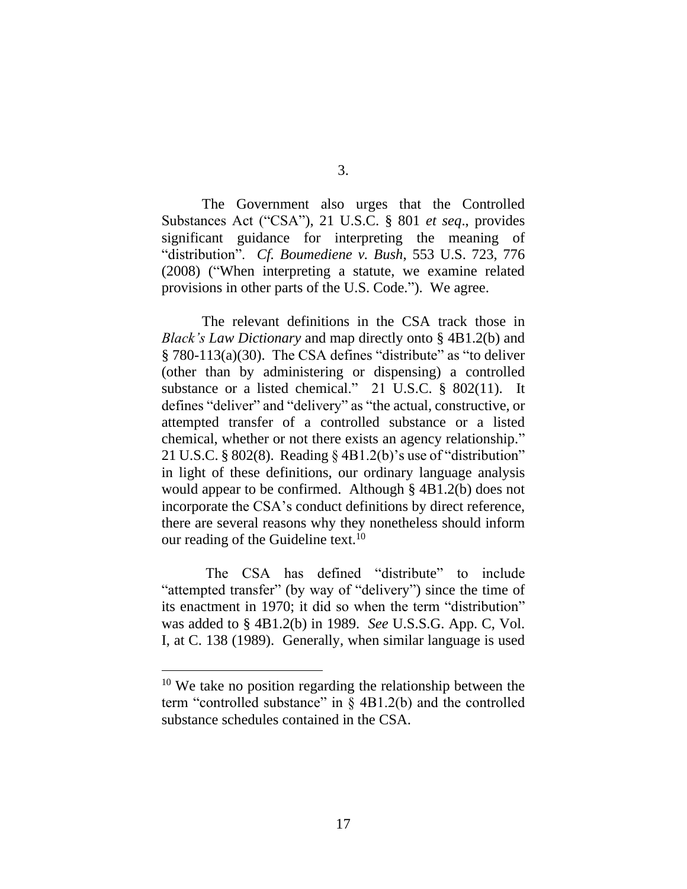3.

The Government also urges that the Controlled Substances Act ("CSA"), 21 U.S.C. § 801 *et seq*., provides significant guidance for interpreting the meaning of "distribution". *Cf. Boumediene v. Bush*, 553 U.S. 723, 776 (2008) ("When interpreting a statute, we examine related provisions in other parts of the U.S. Code."). We agree.

The relevant definitions in the CSA track those in *Black's Law Dictionary* and map directly onto § 4B1.2(b) and  $§ 780-113(a)(30)$ . The CSA defines "distribute" as "to deliver (other than by administering or dispensing) a controlled substance or a listed chemical." 21 U.S.C. § 802(11). It defines "deliver" and "delivery" as "the actual, constructive, or attempted transfer of a controlled substance or a listed chemical, whether or not there exists an agency relationship." 21 U.S.C. § 802(8). Reading § 4B1.2(b)'s use of "distribution" in light of these definitions, our ordinary language analysis would appear to be confirmed. Although § 4B1.2(b) does not incorporate the CSA's conduct definitions by direct reference, there are several reasons why they nonetheless should inform our reading of the Guideline text.<sup>10</sup>

The CSA has defined "distribute" to include "attempted transfer" (by way of "delivery") since the time of its enactment in 1970; it did so when the term "distribution" was added to § 4B1.2(b) in 1989. *See* U.S.S.G. App. C, Vol. I, at C. 138 (1989). Generally, when similar language is used

<sup>&</sup>lt;sup>10</sup> We take no position regarding the relationship between the term "controlled substance" in § 4B1.2(b) and the controlled substance schedules contained in the CSA.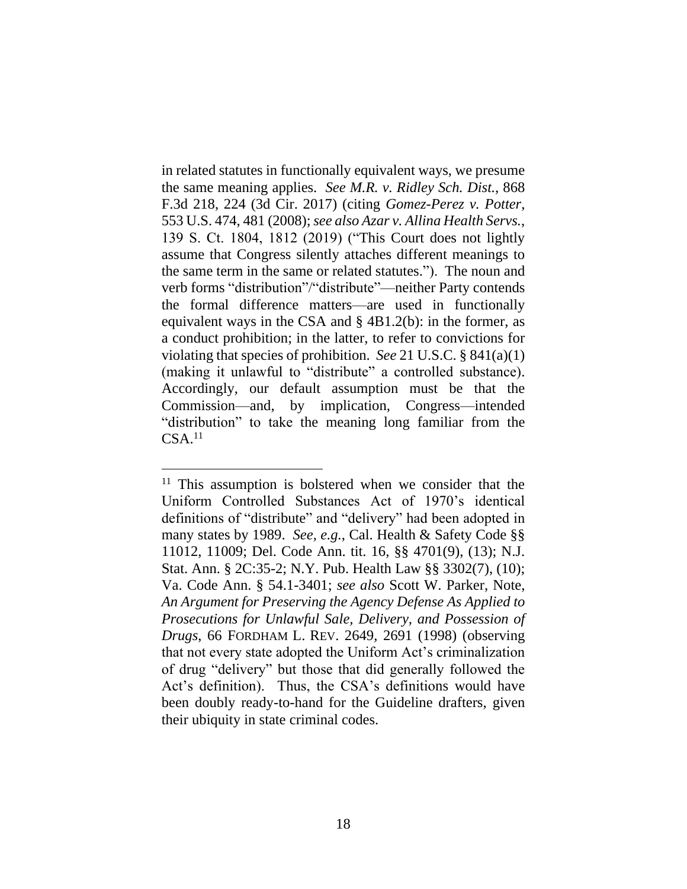in related statutes in functionally equivalent ways, we presume the same meaning applies. *See M.R. v. Ridley Sch. Dist.*, 868 F.3d 218, 224 (3d Cir. 2017) (citing *Gomez-Perez v. Potter*, 553 U.S. 474, 481 (2008); *see also Azar v. Allina Health Servs.*, 139 S. Ct. 1804, 1812 (2019) ("This Court does not lightly assume that Congress silently attaches different meanings to the same term in the same or related statutes."). The noun and verb forms "distribution"/"distribute"—neither Party contends the formal difference matters—are used in functionally equivalent ways in the CSA and § 4B1.2(b): in the former, as a conduct prohibition; in the latter, to refer to convictions for violating that species of prohibition. *See* 21 U.S.C. § 841(a)(1) (making it unlawful to "distribute" a controlled substance). Accordingly, our default assumption must be that the Commission—and, by implication, Congress—intended "distribution" to take the meaning long familiar from the  $CSA.<sup>11</sup>$ 

 $11$  This assumption is bolstered when we consider that the Uniform Controlled Substances Act of 1970's identical definitions of "distribute" and "delivery" had been adopted in many states by 1989. *See, e.g.*, Cal. Health & Safety Code §§ 11012, 11009; Del. Code Ann. tit. 16, §§ 4701(9), (13); N.J. Stat. Ann. § 2C:35-2; N.Y. Pub. Health Law §§ 3302(7), (10); Va. Code Ann. § 54.1-3401; *see also* Scott W. Parker, Note, *An Argument for Preserving the Agency Defense As Applied to Prosecutions for Unlawful Sale, Delivery, and Possession of Drugs*, 66 FORDHAM L. REV. 2649, 2691 (1998) (observing that not every state adopted the Uniform Act's criminalization of drug "delivery" but those that did generally followed the Act's definition). Thus, the CSA's definitions would have been doubly ready-to-hand for the Guideline drafters, given their ubiquity in state criminal codes.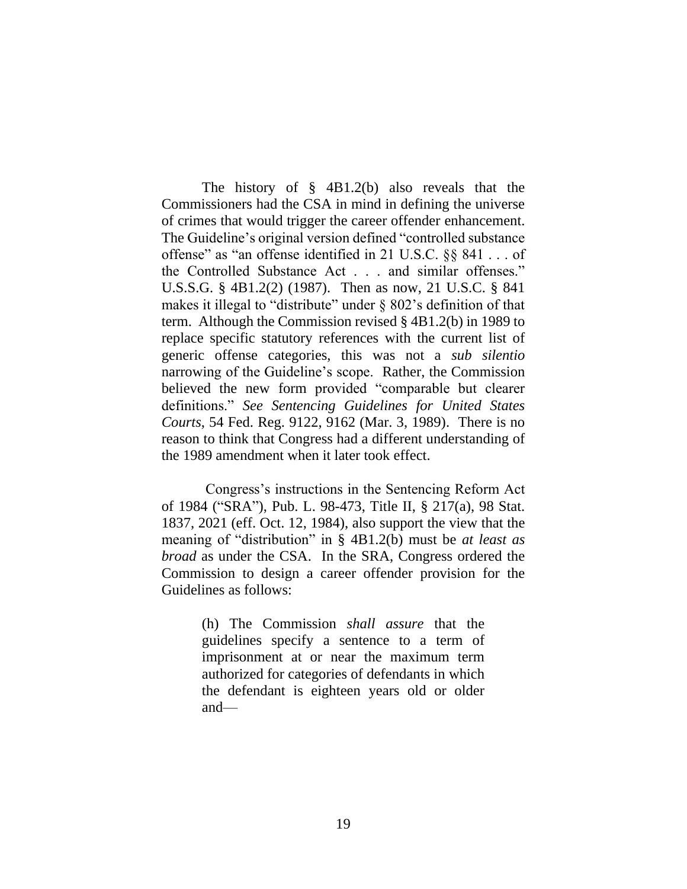The history of § 4B1.2(b) also reveals that the Commissioners had the CSA in mind in defining the universe of crimes that would trigger the career offender enhancement. The Guideline's original version defined "controlled substance offense" as "an offense identified in 21 U.S.C. §§ 841 . . . of the Controlled Substance Act . . . and similar offenses." U.S.S.G. § 4B1.2(2) (1987). Then as now, 21 U.S.C. § 841 makes it illegal to "distribute" under  $\S$  802's definition of that term. Although the Commission revised § 4B1.2(b) in 1989 to replace specific statutory references with the current list of generic offense categories, this was not a *sub silentio* narrowing of the Guideline's scope. Rather, the Commission believed the new form provided "comparable but clearer definitions." *See Sentencing Guidelines for United States Courts*, 54 Fed. Reg. 9122, 9162 (Mar. 3, 1989). There is no reason to think that Congress had a different understanding of the 1989 amendment when it later took effect.

Congress's instructions in the Sentencing Reform Act of 1984 ("SRA"), Pub. L. 98-473, Title II, § 217(a), 98 Stat. 1837, 2021 (eff. Oct. 12, 1984), also support the view that the meaning of "distribution" in § 4B1.2(b) must be *at least as broad* as under the CSA. In the SRA, Congress ordered the Commission to design a career offender provision for the Guidelines as follows:

> (h) The Commission *shall assure* that the guidelines specify a sentence to a term of imprisonment at or near the maximum term authorized for categories of defendants in which the defendant is eighteen years old or older and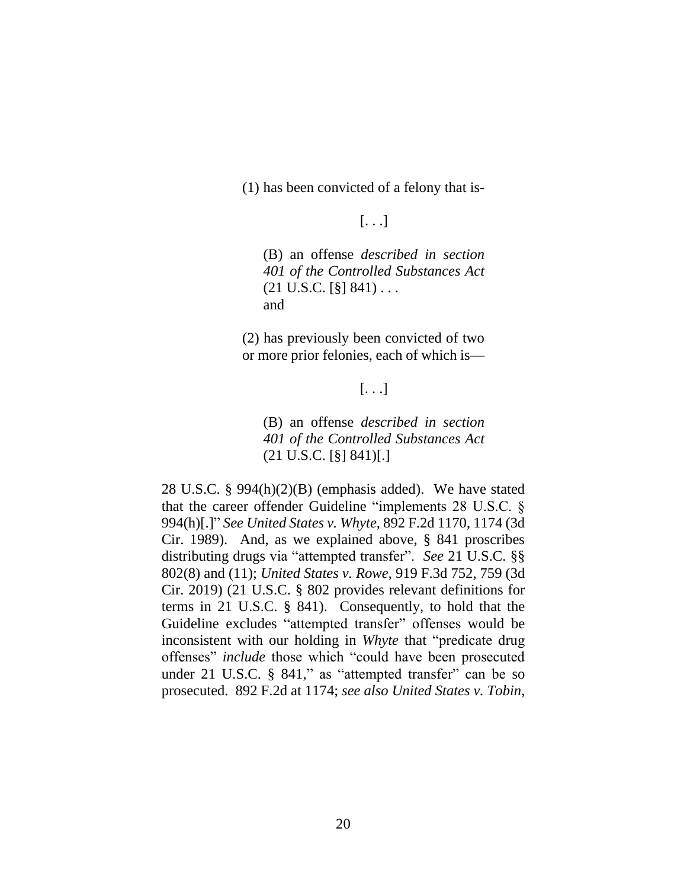(1) has been convicted of a felony that is-

## [. . .]

(B) an offense *described in section 401 of the Controlled Substances Act*  $(21 \text{ U.S.C.} [\S] 841) \ldots$ and

(2) has previously been convicted of two or more prior felonies, each of which is—

# [. . .]

(B) an offense *described in section 401 of the Controlled Substances Act*   $(21 \text{ U.S.C.} [\S] 841)[.]$ 

28 U.S.C. § 994(h)(2)(B) (emphasis added). We have stated that the career offender Guideline "implements 28 U.S.C. § 994(h)[.]" *See United States v. Whyte*, 892 F.2d 1170, 1174 (3d Cir. 1989). And, as we explained above, § 841 proscribes distributing drugs via "attempted transfer". *See* 21 U.S.C. §§ 802(8) and (11); *United States v. Rowe*, 919 F.3d 752, 759 (3d Cir. 2019) (21 U.S.C. § 802 provides relevant definitions for terms in 21 U.S.C. § 841). Consequently, to hold that the Guideline excludes "attempted transfer" offenses would be inconsistent with our holding in *Whyte* that "predicate drug offenses" *include* those which "could have been prosecuted under 21 U.S.C. § 841," as "attempted transfer" can be so prosecuted. 892 F.2d at 1174; *see also United States v. Tobin*,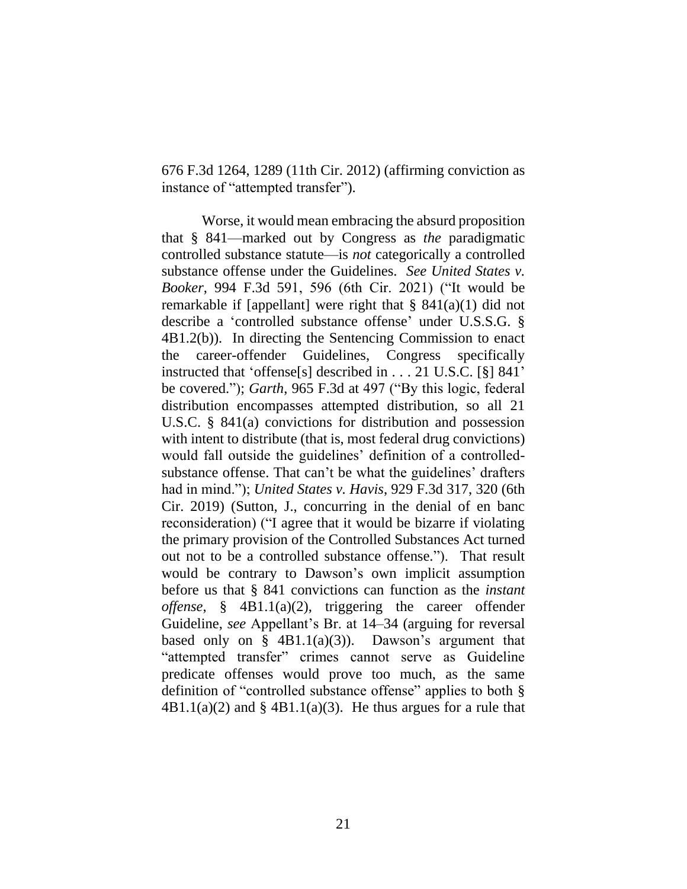676 F.3d 1264, 1289 (11th Cir. 2012) (affirming conviction as instance of "attempted transfer").

Worse, it would mean embracing the absurd proposition that § 841—marked out by Congress as *the* paradigmatic controlled substance statute—is *not* categorically a controlled substance offense under the Guidelines. *See United States v. Booker*, 994 F.3d 591, 596 (6th Cir. 2021) ("It would be remarkable if [appellant] were right that  $\S$  841(a)(1) did not describe a 'controlled substance offense' under U.S.S.G. § 4B1.2(b)). In directing the Sentencing Commission to enact the career-offender Guidelines, Congress specifically instructed that 'offense[s] described in . . . 21 U.S.C. [§] 841' be covered."); *Garth*, 965 F.3d at 497 ("By this logic, federal distribution encompasses attempted distribution, so all 21 U.S.C. § 841(a) convictions for distribution and possession with intent to distribute (that is, most federal drug convictions) would fall outside the guidelines' definition of a controlledsubstance offense. That can't be what the guidelines' drafters had in mind."); *United States v. Havis*, 929 F.3d 317, 320 (6th Cir. 2019) (Sutton, J., concurring in the denial of en banc reconsideration) ("I agree that it would be bizarre if violating the primary provision of the Controlled Substances Act turned out not to be a controlled substance offense."). That result would be contrary to Dawson's own implicit assumption before us that § 841 convictions can function as the *instant offense*, § 4B1.1(a)(2), triggering the career offender Guideline, *see* Appellant's Br. at 14–34 (arguing for reversal based only on  $\S$  4B1.1(a)(3)). Dawson's argument that "attempted transfer" crimes cannot serve as Guideline predicate offenses would prove too much, as the same definition of "controlled substance offense" applies to both §  $4B1.1(a)(2)$  and §  $4B1.1(a)(3)$ . He thus argues for a rule that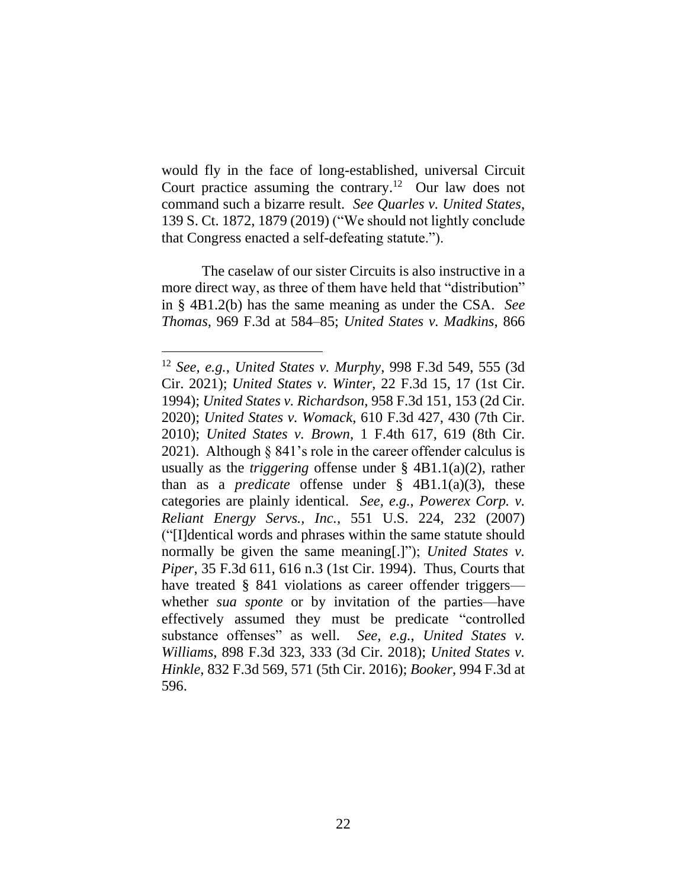would fly in the face of long-established, universal Circuit Court practice assuming the contrary.<sup>12</sup> Our law does not command such a bizarre result. *See Quarles v. United States*, 139 S. Ct. 1872, 1879 (2019) ("We should not lightly conclude that Congress enacted a self-defeating statute.").

The caselaw of our sister Circuits is also instructive in a more direct way, as three of them have held that "distribution" in § 4B1.2(b) has the same meaning as under the CSA. *See Thomas*, 969 F.3d at 584–85; *United States v. Madkins*, 866

<sup>12</sup> *See, e.g.*, *United States v. Murphy*, 998 F.3d 549, 555 (3d Cir. 2021); *United States v. Winter*, 22 F.3d 15, 17 (1st Cir. 1994); *United States v. Richardson*, 958 F.3d 151, 153 (2d Cir. 2020); *United States v. Womack*, 610 F.3d 427, 430 (7th Cir. 2010); *United States v. Brown*, 1 F.4th 617, 619 (8th Cir. 2021). Although § 841's role in the career offender calculus is usually as the *triggering* offense under § 4B1.1(a)(2), rather than as a *predicate* offense under § 4B1.1(a)(3), these categories are plainly identical. *See, e.g.*, *Powerex Corp. v. Reliant Energy Servs., Inc.*, 551 U.S. 224, 232 (2007) ("[I]dentical words and phrases within the same statute should normally be given the same meaning[.]"); *United States v. Piper*, 35 F.3d 611, 616 n.3 (1st Cir. 1994). Thus, Courts that have treated § 841 violations as career offender triggers whether *sua sponte* or by invitation of the parties—have effectively assumed they must be predicate "controlled substance offenses" as well. *See, e.g.*, *United States v. Williams*, 898 F.3d 323, 333 (3d Cir. 2018); *United States v. Hinkle*, 832 F.3d 569, 571 (5th Cir. 2016); *Booker*, 994 F.3d at 596.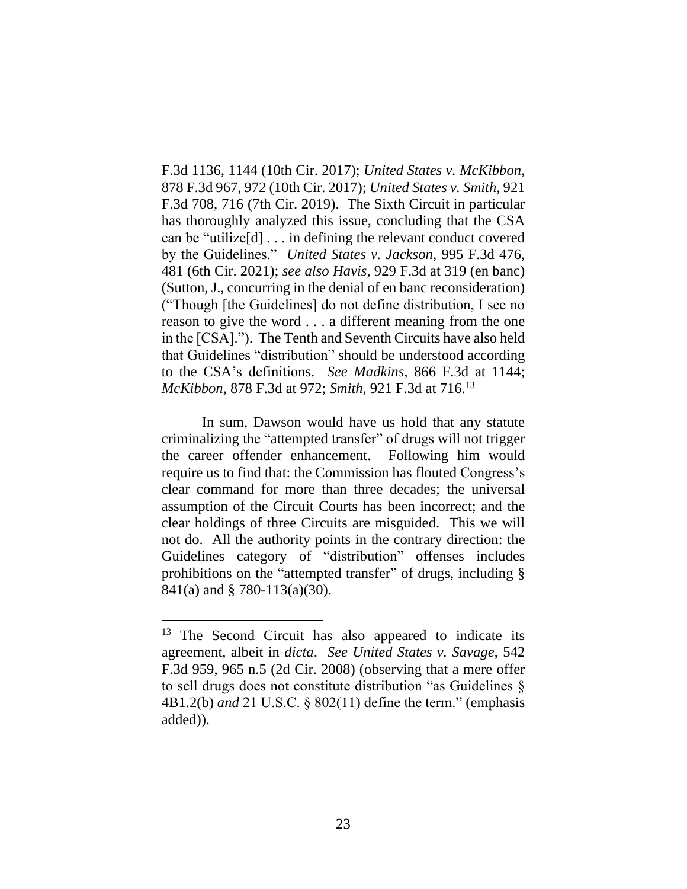F.3d 1136, 1144 (10th Cir. 2017); *United States v. McKibbon*, 878 F.3d 967, 972 (10th Cir. 2017); *United States v. Smith*, 921 F.3d 708, 716 (7th Cir. 2019). The Sixth Circuit in particular has thoroughly analyzed this issue, concluding that the CSA can be "utilize[d] . . . in defining the relevant conduct covered by the Guidelines." *United States v. Jackson*, 995 F.3d 476, 481 (6th Cir. 2021); *see also Havis*, 929 F.3d at 319 (en banc) (Sutton, J., concurring in the denial of en banc reconsideration) ("Though [the Guidelines] do not define distribution, I see no reason to give the word . . . a different meaning from the one in the [CSA]."). The Tenth and Seventh Circuits have also held that Guidelines "distribution" should be understood according to the CSA's definitions. *See Madkins*, 866 F.3d at 1144; *McKibbon*, 878 F.3d at 972; *Smith*, 921 F.3d at 716. 13

In sum, Dawson would have us hold that any statute criminalizing the "attempted transfer" of drugs will not trigger the career offender enhancement. Following him would require us to find that: the Commission has flouted Congress's clear command for more than three decades; the universal assumption of the Circuit Courts has been incorrect; and the clear holdings of three Circuits are misguided. This we will not do. All the authority points in the contrary direction: the Guidelines category of "distribution" offenses includes prohibitions on the "attempted transfer" of drugs, including § 841(a) and § 780-113(a)(30).

<sup>&</sup>lt;sup>13</sup> The Second Circuit has also appeared to indicate its agreement, albeit in *dicta*. *See United States v. Savage*, 542 F.3d 959, 965 n.5 (2d Cir. 2008) (observing that a mere offer to sell drugs does not constitute distribution "as Guidelines § 4B1.2(b) *and* 21 U.S.C. § 802(11) define the term." (emphasis added)).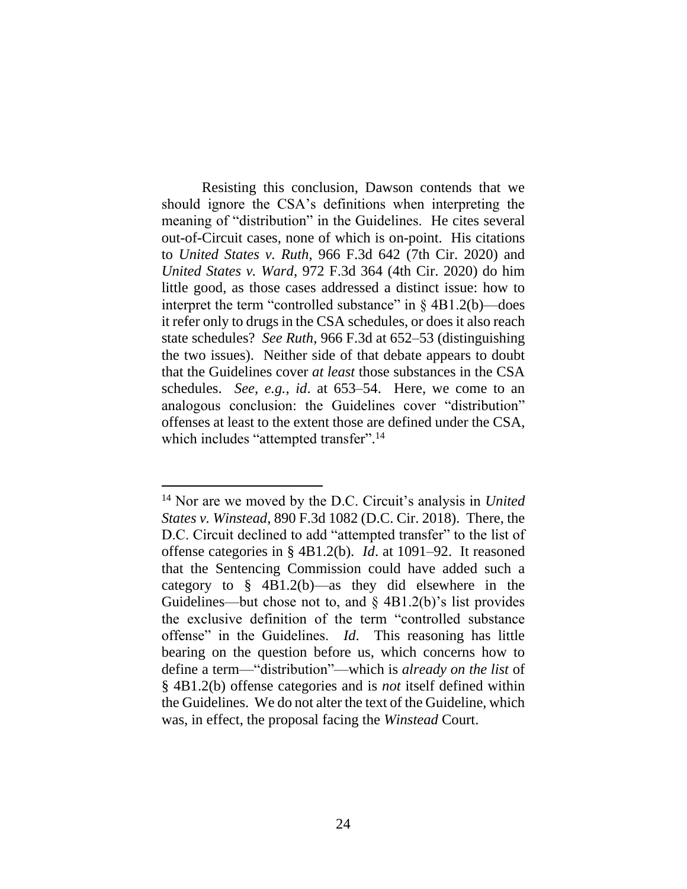Resisting this conclusion, Dawson contends that we should ignore the CSA's definitions when interpreting the meaning of "distribution" in the Guidelines. He cites several out-of-Circuit cases, none of which is on-point. His citations to *United States v. Ruth*, 966 F.3d 642 (7th Cir. 2020) and *United States v. Ward*, 972 F.3d 364 (4th Cir. 2020) do him little good, as those cases addressed a distinct issue: how to interpret the term "controlled substance" in  $\S$  4B1.2(b)—does it refer only to drugs in the CSA schedules, or does it also reach state schedules? *See Ruth*, 966 F.3d at 652–53 (distinguishing the two issues). Neither side of that debate appears to doubt that the Guidelines cover *at least* those substances in the CSA schedules. *See, e.g.*, *id*. at 653–54. Here, we come to an analogous conclusion: the Guidelines cover "distribution" offenses at least to the extent those are defined under the CSA, which includes "attempted transfer".<sup>14</sup>

<sup>14</sup> Nor are we moved by the D.C. Circuit's analysis in *United States v. Winstead*, 890 F.3d 1082 (D.C. Cir. 2018). There, the D.C. Circuit declined to add "attempted transfer" to the list of offense categories in § 4B1.2(b). *Id*. at 1091–92. It reasoned that the Sentencing Commission could have added such a category to § 4B1.2(b)—as they did elsewhere in the Guidelines—but chose not to, and  $\S$  4B1.2(b)'s list provides the exclusive definition of the term "controlled substance offense" in the Guidelines. *Id*. This reasoning has little bearing on the question before us, which concerns how to define a term—"distribution"—which is *already on the list* of § 4B1.2(b) offense categories and is *not* itself defined within the Guidelines. We do not alter the text of the Guideline, which was, in effect, the proposal facing the *Winstead* Court.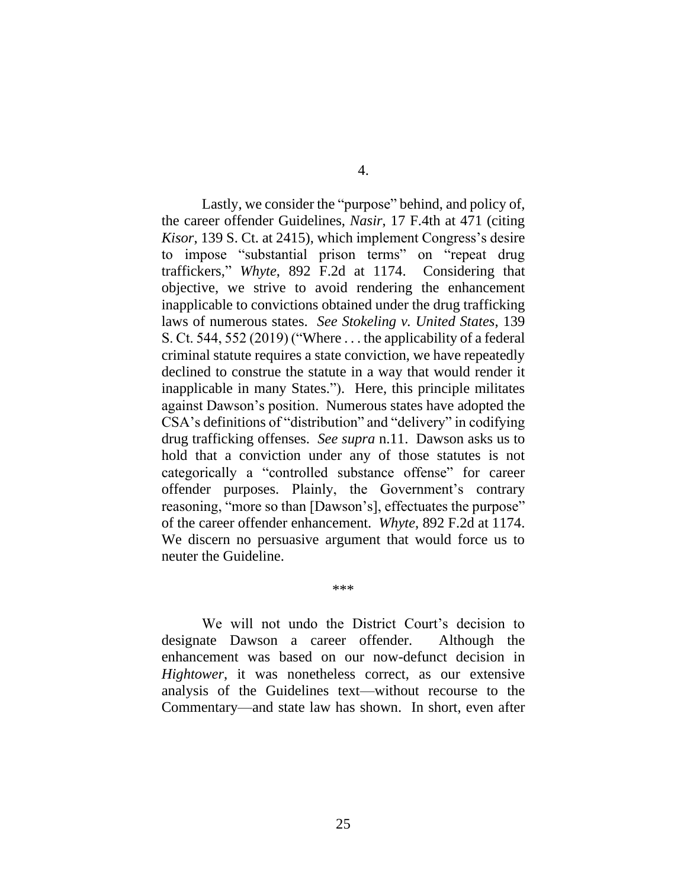Lastly, we consider the "purpose" behind, and policy of, the career offender Guidelines, *Nasir*, 17 F.4th at 471 (citing *Kisor*, 139 S. Ct. at 2415), which implement Congress's desire to impose "substantial prison terms" on "repeat drug traffickers," *Whyte*, 892 F.2d at 1174. Considering that objective, we strive to avoid rendering the enhancement inapplicable to convictions obtained under the drug trafficking laws of numerous states. *See Stokeling v. United States*, 139 S. Ct. 544, 552 (2019) ("Where . . . the applicability of a federal

criminal statute requires a state conviction, we have repeatedly declined to construe the statute in a way that would render it inapplicable in many States."). Here, this principle militates against Dawson's position. Numerous states have adopted the CSA's definitions of "distribution" and "delivery" in codifying drug trafficking offenses. *See supra* n.11. Dawson asks us to hold that a conviction under any of those statutes is not categorically a "controlled substance offense" for career offender purposes. Plainly, the Government's contrary reasoning, "more so than [Dawson's], effectuates the purpose" of the career offender enhancement. *Whyte*, 892 F.2d at 1174. We discern no persuasive argument that would force us to neuter the Guideline.

\*\*\*

We will not undo the District Court's decision to designate Dawson a career offender. Although the enhancement was based on our now-defunct decision in *Hightower*, it was nonetheless correct, as our extensive analysis of the Guidelines text—without recourse to the Commentary—and state law has shown. In short, even after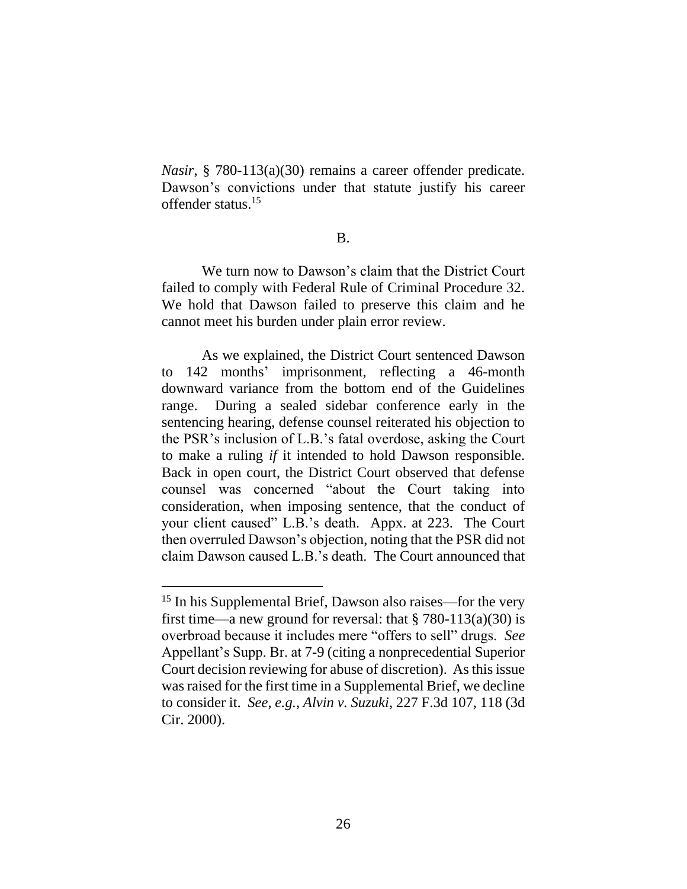*Nasir*, § 780-113(a)(30) remains a career offender predicate. Dawson's convictions under that statute justify his career offender status. 15

#### B.

We turn now to Dawson's claim that the District Court failed to comply with Federal Rule of Criminal Procedure 32. We hold that Dawson failed to preserve this claim and he cannot meet his burden under plain error review.

As we explained, the District Court sentenced Dawson to 142 months' imprisonment, reflecting a 46-month downward variance from the bottom end of the Guidelines range. During a sealed sidebar conference early in the sentencing hearing, defense counsel reiterated his objection to the PSR's inclusion of L.B.'s fatal overdose, asking the Court to make a ruling *if* it intended to hold Dawson responsible. Back in open court, the District Court observed that defense counsel was concerned "about the Court taking into consideration, when imposing sentence, that the conduct of your client caused" L.B.'s death. Appx. at 223. The Court then overruled Dawson's objection, noting that the PSR did not claim Dawson caused L.B.'s death. The Court announced that

<sup>&</sup>lt;sup>15</sup> In his Supplemental Brief, Dawson also raises—for the very first time—a new ground for reversal: that  $\S 780-113(a)(30)$  is overbroad because it includes mere "offers to sell" drugs. *See* Appellant's Supp. Br. at 7-9 (citing a nonprecedential Superior Court decision reviewing for abuse of discretion). As this issue was raised for the first time in a Supplemental Brief, we decline to consider it. *See, e.g.*, *Alvin v. Suzuki*, 227 F.3d 107, 118 (3d Cir. 2000).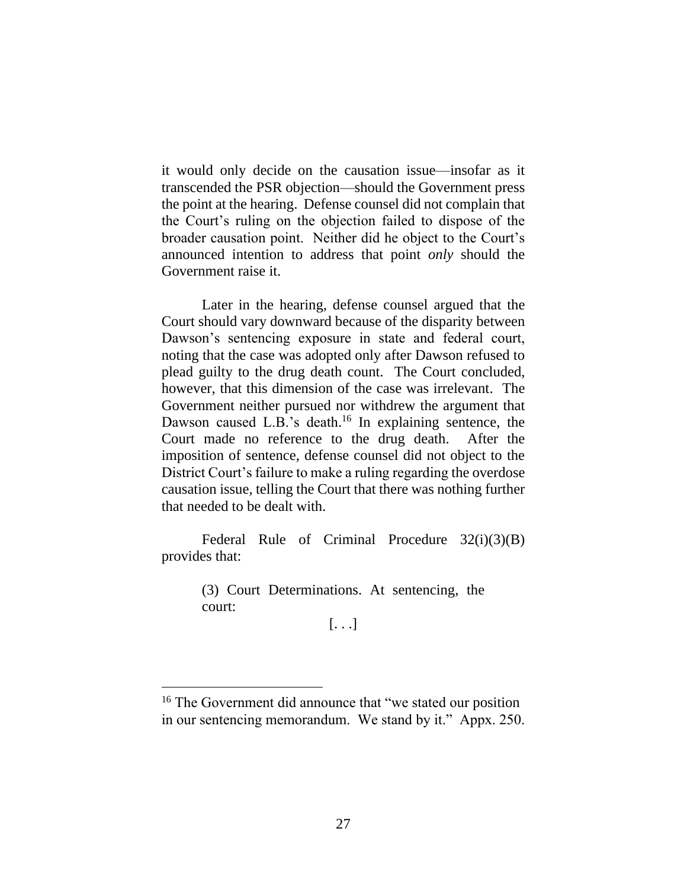it would only decide on the causation issue—insofar as it transcended the PSR objection—should the Government press the point at the hearing. Defense counsel did not complain that the Court's ruling on the objection failed to dispose of the broader causation point. Neither did he object to the Court's announced intention to address that point *only* should the Government raise it.

Later in the hearing, defense counsel argued that the Court should vary downward because of the disparity between Dawson's sentencing exposure in state and federal court, noting that the case was adopted only after Dawson refused to plead guilty to the drug death count. The Court concluded, however, that this dimension of the case was irrelevant. The Government neither pursued nor withdrew the argument that Dawson caused L.B.'s death.<sup>16</sup> In explaining sentence, the Court made no reference to the drug death. After the imposition of sentence, defense counsel did not object to the District Court's failure to make a ruling regarding the overdose causation issue, telling the Court that there was nothing further that needed to be dealt with.

Federal Rule of Criminal Procedure 32(i)(3)(B) provides that:

> (3) Court Determinations. At sentencing, the court:

[. . .]

<sup>&</sup>lt;sup>16</sup> The Government did announce that "we stated our position" in our sentencing memorandum. We stand by it." Appx. 250.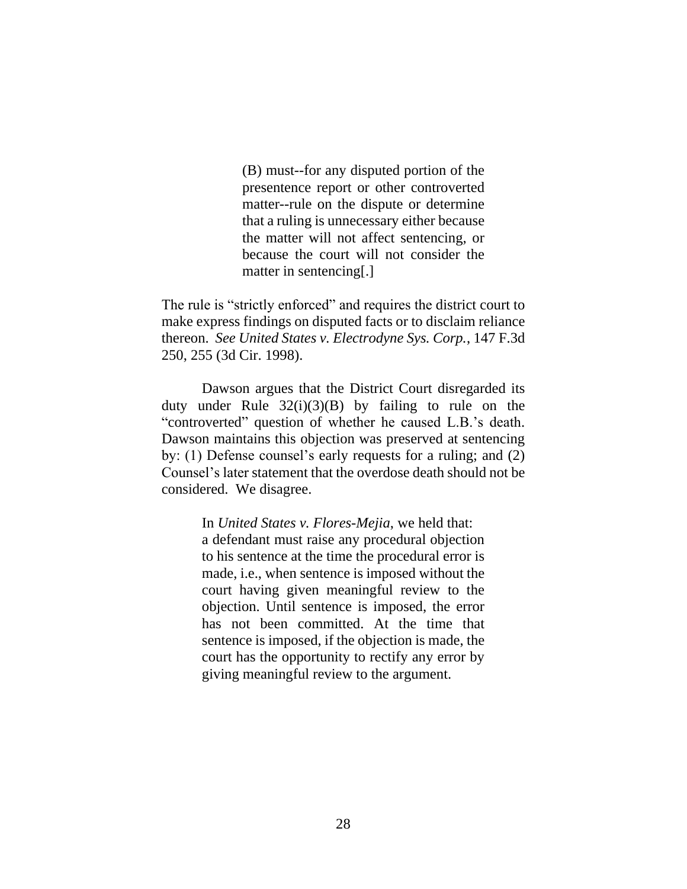(B) must--for any disputed portion of the presentence report or other controverted matter--rule on the dispute or determine that a ruling is unnecessary either because the matter will not affect sentencing, or because the court will not consider the matter in sentencing[.]

The rule is "strictly enforced" and requires the district court to make express findings on disputed facts or to disclaim reliance thereon. *See United States v. Electrodyne Sys. Corp.*, 147 F.3d 250, 255 (3d Cir. 1998).

Dawson argues that the District Court disregarded its duty under Rule  $32(i)(3)(B)$  by failing to rule on the "controverted" question of whether he caused L.B.'s death. Dawson maintains this objection was preserved at sentencing by: (1) Defense counsel's early requests for a ruling; and (2) Counsel's later statement that the overdose death should not be considered. We disagree.

> In *United States v. Flores-Mejia*, we held that: a defendant must raise any procedural objection to his sentence at the time the procedural error is made, i.e., when sentence is imposed without the court having given meaningful review to the objection. Until sentence is imposed, the error has not been committed. At the time that sentence is imposed, if the objection is made, the court has the opportunity to rectify any error by giving meaningful review to the argument.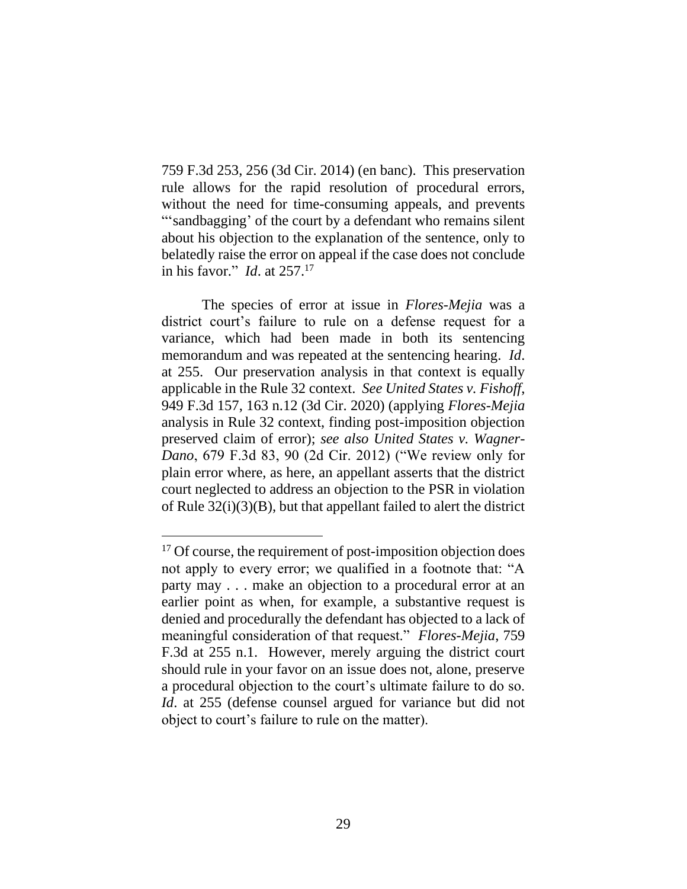759 F.3d 253, 256 (3d Cir. 2014) (en banc). This preservation rule allows for the rapid resolution of procedural errors, without the need for time-consuming appeals, and prevents "'sandbagging' of the court by a defendant who remains silent about his objection to the explanation of the sentence, only to belatedly raise the error on appeal if the case does not conclude in his favor." *Id*. at 257.<sup>17</sup>

The species of error at issue in *Flores-Mejia* was a district court's failure to rule on a defense request for a variance, which had been made in both its sentencing memorandum and was repeated at the sentencing hearing. *Id*. at 255. Our preservation analysis in that context is equally applicable in the Rule 32 context. *See United States v. Fishoff*, 949 F.3d 157, 163 n.12 (3d Cir. 2020) (applying *Flores-Mejia* analysis in Rule 32 context, finding post-imposition objection preserved claim of error); *see also United States v. Wagner-Dano*, 679 F.3d 83, 90 (2d Cir. 2012) ("We review only for plain error where, as here, an appellant asserts that the district court neglected to address an objection to the PSR in violation of Rule 32(i)(3)(B), but that appellant failed to alert the district

<sup>&</sup>lt;sup>17</sup> Of course, the requirement of post-imposition objection does not apply to every error; we qualified in a footnote that: "A party may . . . make an objection to a procedural error at an earlier point as when, for example, a substantive request is denied and procedurally the defendant has objected to a lack of meaningful consideration of that request." *Flores-Mejia*, 759 F.3d at 255 n.1. However, merely arguing the district court should rule in your favor on an issue does not, alone, preserve a procedural objection to the court's ultimate failure to do so. *Id*. at 255 (defense counsel argued for variance but did not object to court's failure to rule on the matter).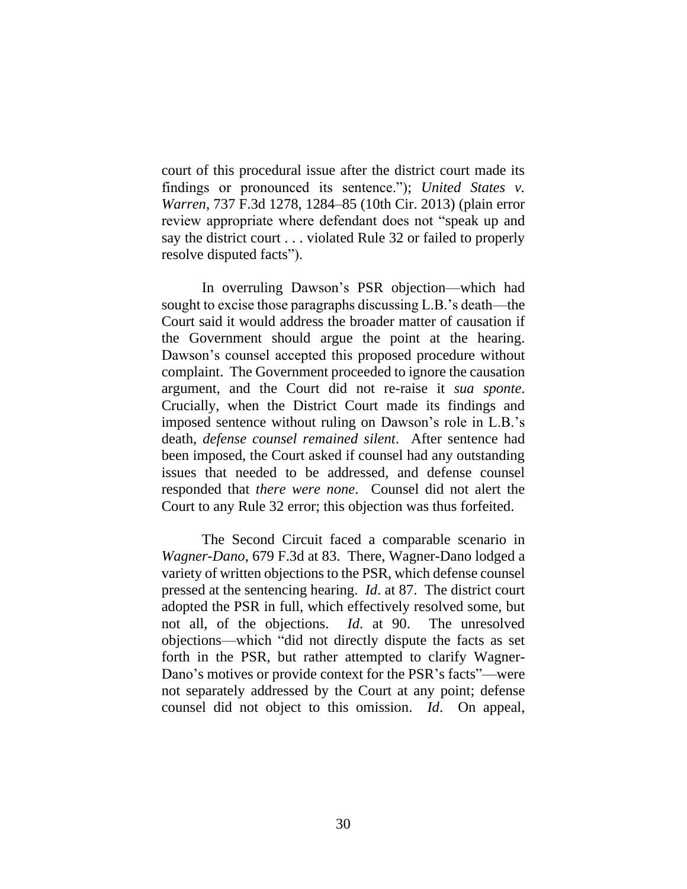court of this procedural issue after the district court made its findings or pronounced its sentence."); *United States v. Warren*, 737 F.3d 1278, 1284–85 (10th Cir. 2013) (plain error review appropriate where defendant does not "speak up and say the district court . . . violated Rule 32 or failed to properly resolve disputed facts").

In overruling Dawson's PSR objection—which had sought to excise those paragraphs discussing L.B.'s death—the Court said it would address the broader matter of causation if the Government should argue the point at the hearing. Dawson's counsel accepted this proposed procedure without complaint. The Government proceeded to ignore the causation argument, and the Court did not re-raise it *sua sponte*. Crucially, when the District Court made its findings and imposed sentence without ruling on Dawson's role in L.B.'s death, *defense counsel remained silent*. After sentence had been imposed, the Court asked if counsel had any outstanding issues that needed to be addressed, and defense counsel responded that *there were none*. Counsel did not alert the Court to any Rule 32 error; this objection was thus forfeited.

The Second Circuit faced a comparable scenario in *Wagner-Dano*, 679 F.3d at 83. There, Wagner-Dano lodged a variety of written objections to the PSR, which defense counsel pressed at the sentencing hearing. *Id*. at 87. The district court adopted the PSR in full, which effectively resolved some, but not all, of the objections. *Id*. at 90. The unresolved objections—which "did not directly dispute the facts as set forth in the PSR, but rather attempted to clarify Wagner-Dano's motives or provide context for the PSR's facts"—were not separately addressed by the Court at any point; defense counsel did not object to this omission. *Id*. On appeal,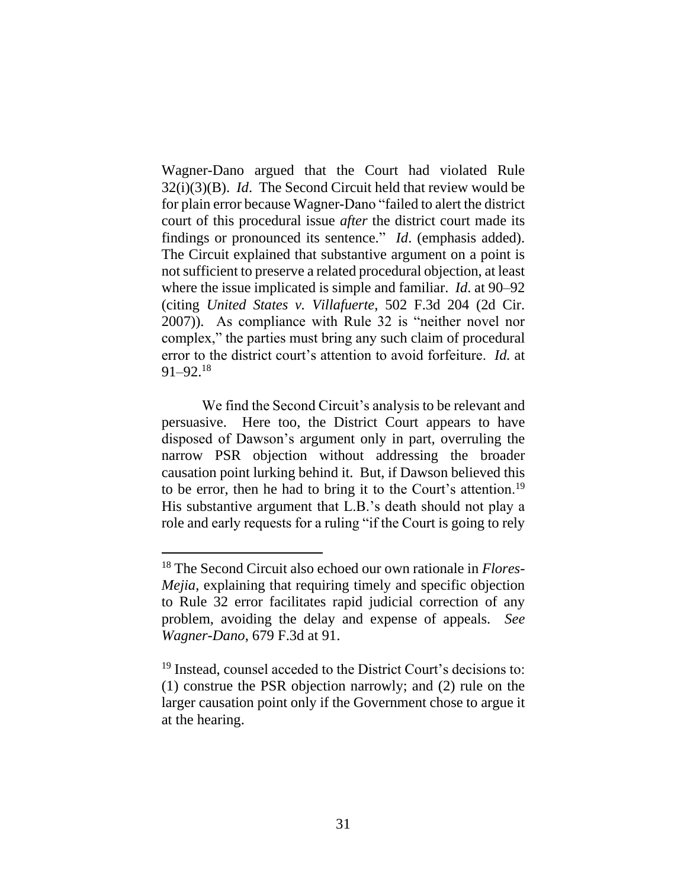Wagner-Dano argued that the Court had violated Rule 32(i)(3)(B). *Id*. The Second Circuit held that review would be for plain error because Wagner-Dano "failed to alert the district court of this procedural issue *after* the district court made its findings or pronounced its sentence." *Id*. (emphasis added). The Circuit explained that substantive argument on a point is not sufficient to preserve a related procedural objection, at least where the issue implicated is simple and familiar. *Id*. at 90–92 (citing *United States v. Villafuerte*, 502 F.3d 204 (2d Cir. 2007)). As compliance with Rule 32 is "neither novel nor complex," the parties must bring any such claim of procedural error to the district court's attention to avoid forfeiture. *Id.* at 91–92.<sup>18</sup>

We find the Second Circuit's analysis to be relevant and persuasive. Here too, the District Court appears to have disposed of Dawson's argument only in part, overruling the narrow PSR objection without addressing the broader causation point lurking behind it. But, if Dawson believed this to be error, then he had to bring it to the Court's attention.<sup>19</sup> His substantive argument that L.B.'s death should not play a role and early requests for a ruling "if the Court is going to rely

<sup>18</sup> The Second Circuit also echoed our own rationale in *Flores-Mejia*, explaining that requiring timely and specific objection to Rule 32 error facilitates rapid judicial correction of any problem, avoiding the delay and expense of appeals. *See Wagner-Dano*, 679 F.3d at 91.

<sup>&</sup>lt;sup>19</sup> Instead, counsel acceded to the District Court's decisions to: (1) construe the PSR objection narrowly; and (2) rule on the larger causation point only if the Government chose to argue it at the hearing.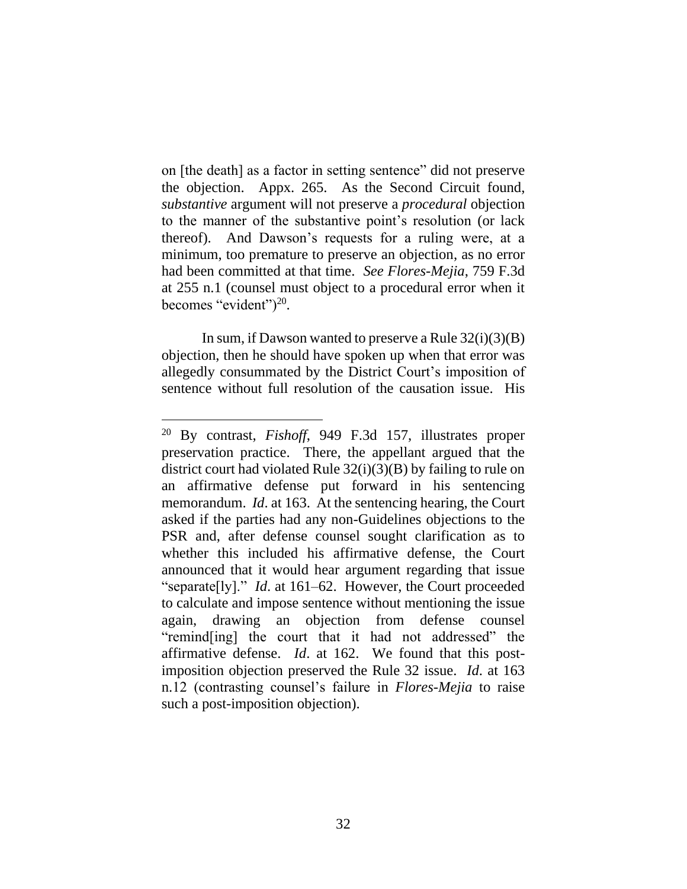on [the death] as a factor in setting sentence" did not preserve the objection. Appx. 265. As the Second Circuit found, *substantive* argument will not preserve a *procedural* objection to the manner of the substantive point's resolution (or lack thereof). And Dawson's requests for a ruling were, at a minimum, too premature to preserve an objection, as no error had been committed at that time. *See Flores-Mejia*, 759 F.3d at 255 n.1 (counsel must object to a procedural error when it becomes "evident" $)^{20}$ .

In sum, if Dawson wanted to preserve a Rule  $32(i)(3)(B)$ objection, then he should have spoken up when that error was allegedly consummated by the District Court's imposition of sentence without full resolution of the causation issue. His

<sup>20</sup> By contrast, *Fishoff*, 949 F.3d 157, illustrates proper preservation practice. There, the appellant argued that the district court had violated Rule  $32(i)(3)(B)$  by failing to rule on an affirmative defense put forward in his sentencing memorandum. *Id*. at 163. At the sentencing hearing, the Court asked if the parties had any non-Guidelines objections to the PSR and, after defense counsel sought clarification as to whether this included his affirmative defense, the Court announced that it would hear argument regarding that issue "separate[ly]." *Id*. at 161–62. However, the Court proceeded to calculate and impose sentence without mentioning the issue again, drawing an objection from defense counsel "remind[ing] the court that it had not addressed" the affirmative defense. *Id*. at 162. We found that this postimposition objection preserved the Rule 32 issue. *Id*. at 163 n.12 (contrasting counsel's failure in *Flores-Mejia* to raise such a post-imposition objection).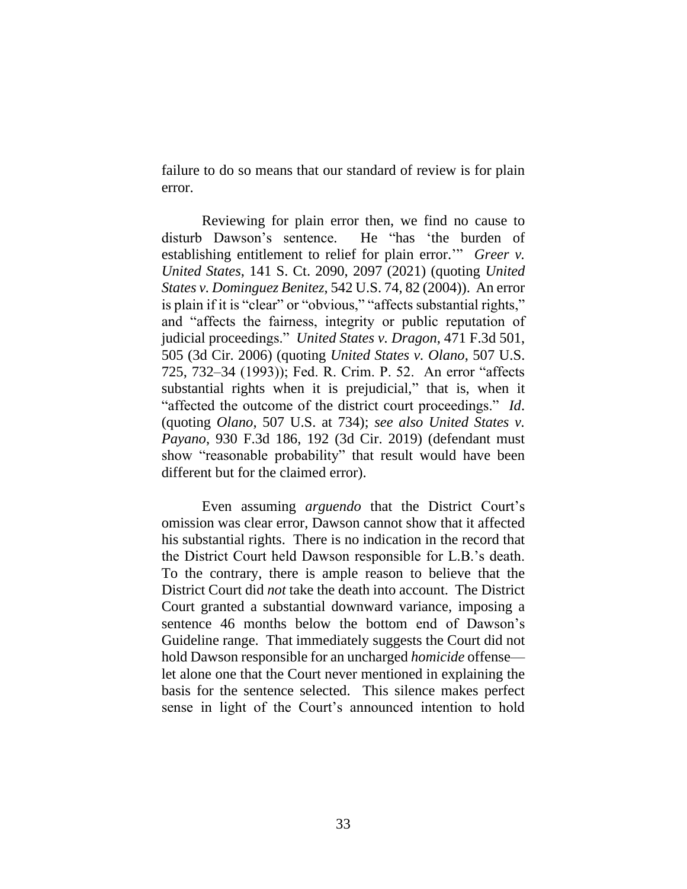failure to do so means that our standard of review is for plain error.

Reviewing for plain error then, we find no cause to disturb Dawson's sentence. He "has 'the burden of establishing entitlement to relief for plain error.'" *Greer v. United States*, 141 S. Ct. 2090, 2097 (2021) (quoting *United States v. Dominguez Benitez*, 542 U.S. 74, 82 (2004)). An error is plain if it is "clear" or "obvious," "affects substantial rights," and "affects the fairness, integrity or public reputation of judicial proceedings." *United States v. Dragon*, 471 F.3d 501, 505 (3d Cir. 2006) (quoting *United States v. Olano*, 507 U.S. 725, 732–34 (1993)); Fed. R. Crim. P. 52. An error "affects substantial rights when it is prejudicial," that is, when it "affected the outcome of the district court proceedings." *Id*. (quoting *Olano*, 507 U.S. at 734); *see also United States v. Payano*, 930 F.3d 186, 192 (3d Cir. 2019) (defendant must show "reasonable probability" that result would have been different but for the claimed error).

Even assuming *arguendo* that the District Court's omission was clear error, Dawson cannot show that it affected his substantial rights. There is no indication in the record that the District Court held Dawson responsible for L.B.'s death. To the contrary, there is ample reason to believe that the District Court did *not* take the death into account. The District Court granted a substantial downward variance, imposing a sentence 46 months below the bottom end of Dawson's Guideline range. That immediately suggests the Court did not hold Dawson responsible for an uncharged *homicide* offense let alone one that the Court never mentioned in explaining the basis for the sentence selected. This silence makes perfect sense in light of the Court's announced intention to hold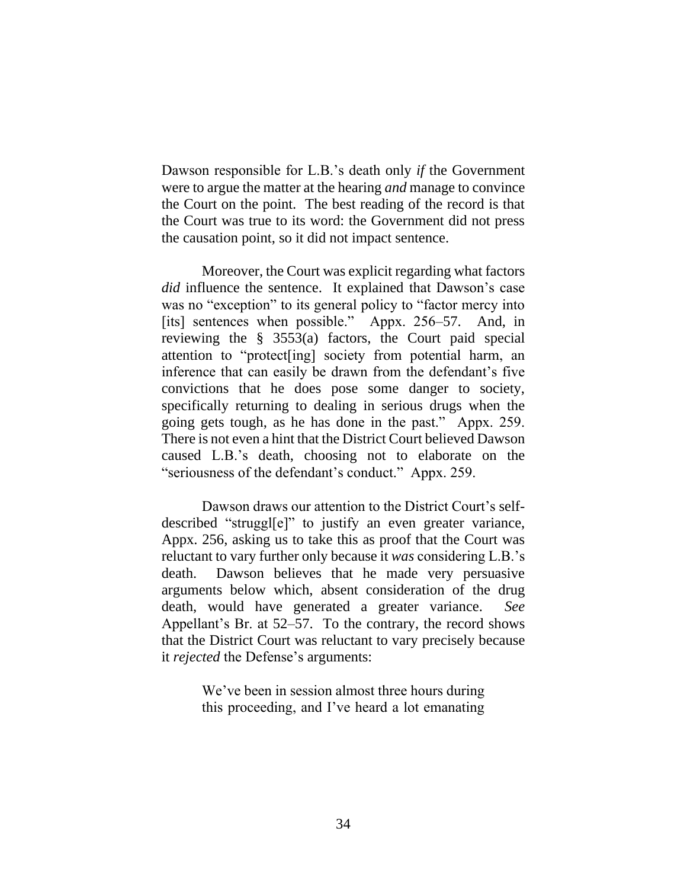Dawson responsible for L.B.'s death only *if* the Government were to argue the matter at the hearing *and* manage to convince the Court on the point. The best reading of the record is that the Court was true to its word: the Government did not press the causation point, so it did not impact sentence.

Moreover, the Court was explicit regarding what factors *did* influence the sentence. It explained that Dawson's case was no "exception" to its general policy to "factor mercy into [its] sentences when possible." Appx. 256–57. And, in reviewing the § 3553(a) factors, the Court paid special attention to "protect[ing] society from potential harm, an inference that can easily be drawn from the defendant's five convictions that he does pose some danger to society, specifically returning to dealing in serious drugs when the going gets tough, as he has done in the past." Appx. 259. There is not even a hint that the District Court believed Dawson caused L.B.'s death, choosing not to elaborate on the "seriousness of the defendant's conduct." Appx. 259.

Dawson draws our attention to the District Court's selfdescribed "struggl[e]" to justify an even greater variance, Appx. 256, asking us to take this as proof that the Court was reluctant to vary further only because it *was* considering L.B.'s death. Dawson believes that he made very persuasive arguments below which, absent consideration of the drug death, would have generated a greater variance. *See* Appellant's Br. at 52–57. To the contrary, the record shows that the District Court was reluctant to vary precisely because it *rejected* the Defense's arguments:

> We've been in session almost three hours during this proceeding, and I've heard a lot emanating